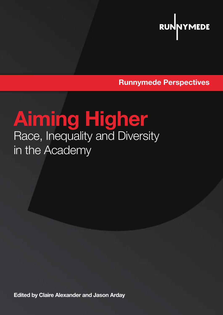

Runnymede Perspectives

# Aiming Higher Race, Inequality and Diversity in the Academy

Edited by Claire Alexander and Jason Arday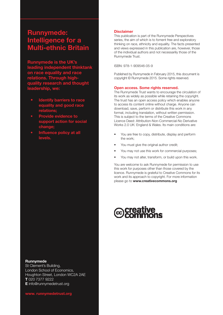# Runnymede: Intelligence for a Multi-ethnic Britain

Runnymede is the UK's leading independent thinktank on race equality and race relations. Through highquality research and thought leadership, we:

- **Identify barriers to race** equality and good race relations;
- Provide evidence to support action for social change;
- Influence policy at all levels.

#### Runnymede

St Clement's Building, London School of Economics, Houghton Street, London WC2A 2AE T 020 7377 9222 E info@runnymedetrust.org

www. runnymedetrust.org

#### Disclaimer

This publication is part of the Runnymede Perspectives series, the aim of which is to foment free and exploratory thinking on race, ethnicity and equality. The facts presented and views expressed in this publication are, however, those of the individual authors and not necessariliy those of the Runnymede Trust.

ISBN: 978-1-909546-05-9

Published by Runnymede in February 2015, this document is copyright © Runnymede 2015. Some rights reserved.

#### Open access. Some rights reserved.

The Runnymede Trust wants to encourage the circulation of its work as widely as possible while retaining the copyright. The trust has an open access policy which enables anyone to access its content online without charge. Anyone can download, save, perform or distribute this work in any format, including translation, without written permission. This is subject to the terms of the Creative Commons Licence Deed: Attribution-Non-Commercial-No Derivative Works 2.0 UK: England & Wales. Its main conditions are:

- You are free to copy, distribute, display and perform the work;
- You must give the original author credit;
- You may not use this work for commercial purposes;
- You may not alter, transform, or build upon this work.

You are welcome to ask Runnymede for permission to use this work for purposes other than those covered by the licence. Runnymede is grateful to Creative Commons for its work and its approach to copyright. For more information please go to www.creativecommons.org

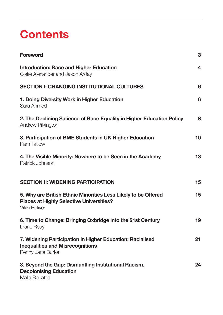# **Contents**

| <b>Foreword</b>                                                                                                                           | 3                       |
|-------------------------------------------------------------------------------------------------------------------------------------------|-------------------------|
| <b>Introduction: Race and Higher Education</b><br>Claire Alexander and Jason Arday                                                        | $\overline{\mathbf{4}}$ |
| <b>SECTION I: CHANGING INSTITUTIONAL CULTURES</b>                                                                                         | 6                       |
| 1. Doing Diversity Work in Higher Education<br>Sara Ahmed                                                                                 | 6                       |
| 2. The Declining Salience of Race Equality in Higher Education Policy<br><b>Andrew Pilkington</b>                                         | 8                       |
| 3. Participation of BME Students in UK Higher Education<br>Pam Tatlow                                                                     | 10                      |
| 4. The Visible Minority: Nowhere to be Seen in the Academy<br>Patrick Johnson                                                             | 13                      |
| <b>SECTION II: WIDENING PARTICIPATION</b>                                                                                                 | 15                      |
| 5. Why are British Ethnic Minorities Less Likely to be Offered<br><b>Places at Highly Selective Universities?</b><br><b>Vikki Boliver</b> | 15                      |
| 6. Time to Change: Bringing Oxbridge into the 21st Century<br>Diane Reay                                                                  | 19                      |
| 7. Widening Participation in Higher Education: Racialised<br><b>Inequalities and Misrecognitions</b><br>Penny Jane Burke                  | 21                      |
| 8. Beyond the Gap: Dismantling Institutional Racism,<br><b>Decolonising Education</b><br>Malia Bouattia                                   | 24                      |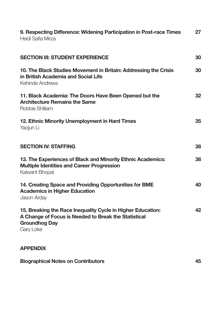| 9. Respecting Difference: Widening Participation in Post-race Times<br>Heidi Safia Mirza                                                                 | 27 |
|----------------------------------------------------------------------------------------------------------------------------------------------------------|----|
| <b>SECTION III: STUDENT EXPERIENCE</b>                                                                                                                   | 30 |
| 10. The Black Studies Movement in Britain: Addressing the Crisis<br>in British Academia and Social Life<br><b>Kehinde Andrews</b>                        | 30 |
| 11. Black Academia: The Doors Have Been Opened but the<br><b>Architecture Remains the Same</b><br>Robbie Shilliam                                        | 32 |
| 12. Ethnic Minority Unemployment in Hard Times<br>Yaojun Li                                                                                              | 35 |
| <b>SECTION IV: STAFFING</b>                                                                                                                              | 38 |
| 13. The Experiences of Black and Minority Ethnic Academics:<br><b>Multiple Identities and Career Progression</b><br>Kalwant Bhopal                       | 38 |
| 14. Creating Space and Providing Opportunities for BME<br><b>Academics in Higher Education</b><br>Jason Arday                                            | 40 |
| 15. Breaking the Race Inequality Cycle in Higher Education:<br>A Change of Focus is Needed to Break the Statistical<br><b>Groundhog Day</b><br>Gary Loke | 42 |
| <b>APPENDIX</b>                                                                                                                                          |    |

# Biographical Notes on Contributors 45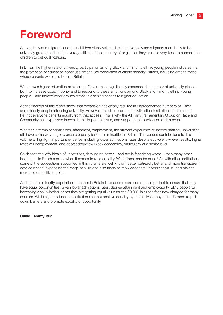# Foreword

Across the world migrants and their children highly value education. Not only are migrants more likely to be university graduates than the average citizen of their country of origin, but they are also very keen to support their children to get qualifications.

In Britain the higher rate of university participation among Black and minority ethnic young people indicates that the promotion of education continues among 3rd generation of ethnic minority Britons, including among those whose parents were also born in Britain.

When I was higher education minister our Government significantly expanded the number of university places both to increase social mobility and to respond to these ambitions among Black and minority ethnic young people – and indeed other groups previously denied access to higher education.

As the findings of this report show, that expansion has clearly resulted in unprecedented numbers of Black and minority people attending university. However, it is also clear that as with other institutions and areas of life, not everyone benefits equally from that access. This is why the All Party Parliamentary Group on Race and Community has expressed interest in this important issue, and supports the publication of this report.

Whether in terms of admissions, attainment, employment, the student experience or indeed staffing, universities still have some way to go to ensure equality for ethnic minorities in Britain. The various contributions to this volume all highlight important evidence, including lower admissions rates despite equivalent A-level results, higher rates of unemployment, and depressingly few Black academics, particularly at a senior level.

So despite the lofty ideals of universities, they do no better – and are in fact doing worse – than many other institutions in British society when it comes to race equality. What, then, can be done? As with other institutions, some of the suggestions supported in this volume are well known: better outreach, better and more transparent data collection, expanding the range of skills and also kinds of knowledge that universities value, and making more use of positive action.

As the ethnic minority population increases in Britain it becomes more and more important to ensure that they have equal opportunities. Given lower admissions rates, degree attainment and employability, BME people will increasingly ask whether or not they are getting equal value for the £9,000 in tuition fees now charged for many courses. While higher education institutions cannot achieve equality by themselves, they must do more to pull down barriers and promote equality of opportunity.

David Lammy, MP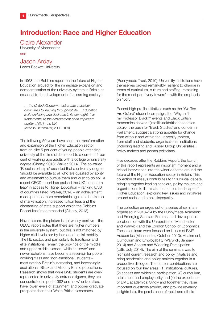# Introduction: Race and Higher Education

Claire Alexander University of Manchester and

#### Jason Arday

Leeds Beckett University

In 1963, the Robbins report on the future of Higher Education argued for the immediate expansion and democratisation of the university system in Britain as essential to the development of 'a learning society':

… the United Kingdom must create a society committed to learning throughout life…. Education is life enriching and desirable in its own right. It is fundamental to the achievement of an improved quality of life in the UK. (cited in Bathmaker, 2003: 169)

The following 50 years have seen the transformation and expansion of the Higher Education sector, from an elite 5 per cent of young people attending university at the time of the report to a current 41 per cent of working age adults with a college or university degree (Gibney, 2013; Walker, 2014). The so-called 'Robbins principle' asserted that a university degree 'should be available to all who are qualified by ability and attainment to pursue them and wish to do so'. A recent OECD report has praised the UK's 'quantum leap' in access to Higher Education – ranking 8/36 of countries listed (Walker, 2014) – an achievement made perhaps more remarkable against a backdrop of marketisation, increased tuition fees and the dismantling of state support which the Robbins Report itself recommended (Gibney, 2013).

Nevertheless, the picture is not wholly positive – the OECD report notes that there are higher numbers in the university system, but this is not matched by higher skill levels nor by increased social mobility. The HE sector, and particularly its traditional and elite institutions, remain the province of the middle and upper middle classes, while its 'lower' and newer echelons have become a reservoir for poorer, working class and 'non-traditional' students – most notably Britain's increasing, and increasingly aspirational, Black and Minority Ethnic populations. Research shows that while BME students are overrepresented in university entrance figures, they are concentrated in post-1992 and 'new' universities, have lower levels of attainment and poorer graduate prospects than their White British classmates

(Runnymede Trust, 2010). University institutions have themselves proved remarkably resilient to change in terms of curriculum, culture and staffing, remaining for the most part 'ivory towers' – with the emphasis on 'ivory'.

Recent high profile initiatives such as the 'We Too Are Oxford' student campaign, the 'Why Isn't my Professor Black?' events and Black British Academics network (info@blackbritishacademics. co.uk), the push for 'Black Studies' and concern in Parliament, suggest a strong appetite for change from without and within the university system, from staff and students, organisations, institutions (including leading and Russell Group Universities), policy makers and (some) politicians.

Five decades after the Robbins Report, the launch of this report represents an important moment and a critical intervention into the wider debates around the future of the Higher Education sector in Britain. This collection of essays contributes to this crucial debate, bringing together leading scholars, policy makers and organisations to illuminate the current landscape of Higher Education, exploring key issues and initiatives around racial and ethnic (in)equality.

The collection emerges out of a series of seminars organised in 2013−14 by the Runnymede Academic and Emerging Scholars Forums, and developed in collaboration with the Universities of Manchester and Warwick and the London School of Economics. These seminars were focused on issues of BME Academics (Manchester, October 2013), Attainment, Curriculum and Employability (Warwick, January 2014) and Access and Widening Participation (LSE, July 2014). The aim of the seminars was to highlight current research and policy initiatives and bring academics and policy makers together in a productive dialogue. The current contributions are focused on four key areas: (1) institutional cultures, (2) access and widening participation, (3) curriculum, attainment and employability and (4) the experience of BME academics. Singly and together they raise important questions around, and provide revealing insights into, the persistence of racial and ethnic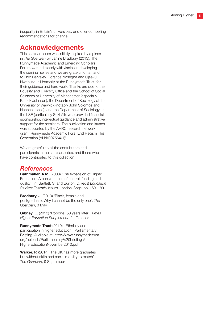inequality in Britain's universities, and offer compelling recommendations for change.

# Acknowledgements

This seminar series was initially inspired by a piece in The Guardian by Janine Bradbury (2013). The Runnymede Academic and Emerging Scholars Forum worked closely with Janine in developing the seminar series and we are grateful to her, and to Rob Berkeley, Florence Nosegbe and Ojeaku Nwabuzo, all formerly at the Runnymede Trust, for their guidance and hard work. Thanks are due to the Equality and Diversity Office and the School of Social Sciences at University of Manchester (especially Patrick Johnson), the Department of Sociology at the University of Warwick (notably John Solomos and Hannah Jones), and the Department of Sociology at the LSE (particularly Suki Ali), who provided financial sponsorship, intellectual guidance and administrative support for the seminars. The publication and launch was supported by the AHRC research network grant 'Runnymede Academic Fora: End Racism This Generation (AH/K007564/1)'.

We are grateful to all the contributors and participants in the seminar series, and those who have contributed to this collection.

#### References

Bathmaker, A.M. (2003) 'The expansion of Higher Education: A consideration of control, funding and quality'. In: Bartlett, S. and Burton, D. (eds) Education Studies: Essential Issues. London: Sage, pp. 169−189.

Bradbury, J. (2013) 'Black, female and postgraduate: Why I cannot be the only one'. The Guardian, 3 May.

Gibney, E. (2013) 'Robbins: 50 years later'. Times Higher Education Supplement, 24 October.

Runnymede Trust (2010), 'Ethnicity and participation in higher education'. Parliamentary Briefing. Available at: http://www.runnymedetrust. org/uploads/Parliamentary%20briefings/ HigherEducationNovember2010.pdf

Walker, P. (2014) 'The UK has more graduates but without skills and social mobility to match'. The Guardian, 9 September.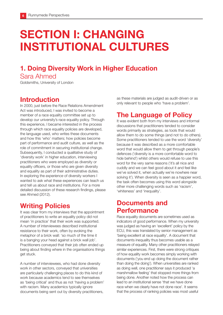# SECTION I: CHANGING INSTITUTIONAL CULTURES

# 1. Doing Diversity Work in Higher Education

Sara Ahmed

Goldsmiths, University of London

# Introduction

In 2000, just before the Race Relations Amendment Act was introduced, I was invited to become a member of a race equality committee set up to develop our university's race equality policy. Through this experience, I became interested in the process through which race equality policies are developed, the language used, who writes these documents and how this 'who' matters; how policies become part of performance and audit culture, as well as the role of commitment in securing institutional change. Subsequently, I conducted a qualitative study of 'diversity work' in higher education, interviewing practitioners who were employed as diversity or equality officers, or those who are given diversity and equality as part of their administrative duties. In exploring the experience of diversity workers I wanted to ask what these experiences can teach us and tell us about race and institutions. For a more detailed discussion of these research findings, please see Ahmed (2012).

# Writing Policies

It was clear from my interviews that the appointment of practitioners to write an equality policy did not mean 'in practice' that their work was supported. A number of interviewees described institutional resistance to their work, often by evoking the metaphor of a brick wall: 'so much of the time it is a banging your head against a brick wall job'. Practitioners conveyed that their job often ended up being about finding where in the organisations things get stuck.

A number of interviewees, who had done diversity work in other sectors, conveyed that universities are particularly challenging places to do this kind of work because academics tend to see themselves as 'being critical' and thus as not 'having a problem' with racism. Many academics typically ignore documents being sent out by diversity practitioners,

as these materials are judged as audit-driven or as only relevant to people who 'have a problem'.

# The Language of Policy

It was evident both from my interviews and informal discussions that practitioners tended to consider words primarily as strategies, as tools that would allow them to do some things (and not to do others). Some practitioners tended to use the word 'diversity' because it was described as a more comfortable word that would allow them to get through people's defences ('diversity is a more comfortable word to hide behind') whilst others would refuse to use this word for the very same reasons ('it's all nice and cuddly and we can feel good about it and feel like we've solved it, when actually we're nowhere near solving it'). When diversity is seen as a happier word, the task often becomes using this word alongside other more challenging words such as 'racism', 'whiteness' and 'inequality'.

# Documents and Performance

Race equality documents are sometimes used as indicators of good performance. When my university was judged as having an 'excellent' policy by the ECU, this was translated by senior management as 'being excellent at race equality'. A document that documents inequality thus becomes usable as a measure of equality. Many other practitioners relayed similar experiences. First, there were strong critiques of how equality work becomes simply working with documents ('you end up doing the document rather than doing the doing'). When universities are ranked as doing well, one practitioner says it produced 'a marshmallow feeling' that stopped more things from being done. Another noted how the process can lead to an institutional sense 'that we have done race when we clearly have not done race'. It seems that the process of ranking policies was most useful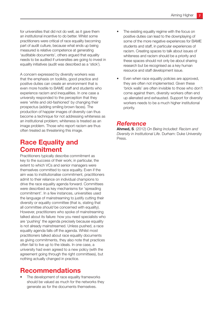for universities that did not do well, as it gave them an institutional incentive to do better. Whilst some practitioners were critical of race equality becoming part of audit culture, because what ends up being measured is relative competence at generating 'auditable documents', others argued that equality needs to be audited if universities are going to invest in equality initiatives (audit was described as a 'stick').

A concern expressed by diversity workers was that the emphasis on toolkits, good practice and positive duties can create an environment that is even more hostile to BAME staff and students who experience racism and inequalities. In one case a university responded to the perception that they were 'white and old-fashioned' by changing their prospectus (adding smiling brown faces). The production of happier images of diversity can thus become a technique for not addressing whiteness as an institutional problem; whiteness is treated as an image problem. Those who report racism are thus often treated as threatening this image.

# Race Equality and Commitment

Practitioners typically describe commitment as key to the success of their work; in particular, the extent to which VCs and senior managers were themselves committed to race equality. Even if the aim was to institutionalise commitment, practitioners admit to their reliance on individual champions to drive the race equality agenda forward. Committees were described as key mechanisms for 'spreading commitment'. In a few instances, universities used the language of mainstreaming to justify cutting their diversity or equality committee (that is, stating that all committee should be concerned with equality). However, practitioners who spoke of mainstreaming talked about its failure: how you need specialists who are 'pushing' the agenda precisely because equality is not already mainstreamed. Unless pushed, a race equality agenda falls off the agenda. Whilst most practitioners talked about race equality documents as giving commitments, they also note that practices often fail to live up to the ideals. In one case, a university had even agreed to a new policy (with the agreement going through the right committees), but nothing actually changed in practice.

# **Recommendations**

The development of race equality frameworks should be valued as much for the networks they generate as for the documents themselves.

- The existing equality regime with the focus on positive duties can lead to the downplaying of some of the more negative experiences for BAME students and staff, in particular experiences of racism. Creating spaces to talk about issues of whiteness and racism should be a priority and these spaces should not only be about sharing research but be recognised as a key human resource and staff development issue.
- Even when race equality policies are approved, they are often not implemented. Given these 'brick walls' are often invisible to those who don't come against them, diversity workers often end up alienated and exhausted. Support for diversity workers needs to be a much higher institutional priority.

# **Reference**

Ahmed, S. (2012) On Being Included: Racism and Diversity in Institutional Life. Durham: Duke University Press.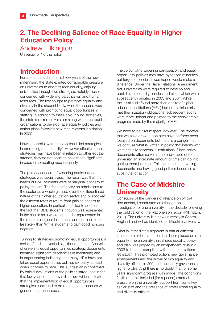# 2. The Declining Salience of Race Equality in Higher Education Policy

Andrew Pilkington

University of Northampton

# Introduction

For a brief period in the first few years of the new millennium, the state exerted considerable pressure on universities to address race equality, cajoling universities through two strategies, notably those concerned with widening participation and human resources. The first sought to promote equality and diversity in the student body, while the second was concerned with promoting equal opportunities in staffing. In addition to these colour blind strategies, the state required universities along with other public organisations to develop race equality policies and action plans following new race relations legislation in 2000.

How successful were these colour blind strategies in promoting race equality? However effective these strategies may have been in relation to other equality strands, they do not seem to have made significant inroads in combating race inequality.

The primary concern of widening participation strategies was social class. The result was that the needs of BME students were of marginal concern to policy makers. The focus of policy on admissions to the sector as a whole glossed over the differentiated nature of the higher education sector and overlooked the different rates of return from gaining access to higher education. In particular it failed to address the fact that BME students, though well represented in the sector as a whole, are under-represented in the more prestigious institutions and continue to be less likely than White students to gain good honours degrees.

Turning to strategies promoting equal opportunities, a series of audits revealed significant lacunae. Analysis of university equal opportunities strategic documents identified significant deficiencies in monitoring and in target setting indicating that many HEIs have not taken equal opportunities policies seriously, at least when it comes to race. This suggestion is confirmed by official evaluations of the policies introduced in the first few years of the new millennium which indicate that the implementation of equal opportunities strategies continued to exhibit a greater concern with gender than race issues.

The colour blind widening participation and equal opportunity policies may have bypassed minorities, but targeted policies it was hoped would make a difference. Under the Race Relations (Amendment) Act, universities were required to develop and publish race equality policies and plans which were subsequently audited in 2003 and 2004. While the initial audit found more than a third of higher education institutions (HEIs) had not satisfactorily met their statutory obligations, subsequent audits were more upbeat and pointed to the considerable progress made by the majority of HEIs.

We need to be circumspect, however. The reviews that we have drawn upon here have perforce been focused on documents but there is a danger that we confuse what is written in policy documents with what actually happens in institutions. Since policy documents often serve as the public face of the university, an inordinate amount of time can go into getting them just right. This can mean that writing documents and having good policies becomes a substitute for action.

# The Case of Midshire **University**

Conscious of the dangers of reliance on official documents, I conducted an ethnographic investigation of one university in the decade following the publication of the Macpherson report (Pilkington, 2011). The university is a new university in Central England and will be identified as Midshire University.

What is immediately apparent is that at different times more or less attention has been placed on race equality. The university's initial race equality policy and plan was judged by an independent review in 2003 to be non-compliant with the race relations legislation. This prompted action: new governance arrangements and the arrival of two equality and diversity officers in 2004 subsequently gave race a higher profile. And there is no doubt that for some years significant progress was made. The conditions facilitating this included (for a period) external pressure on the university, support from some key senior staff and the presence of professional equality and diversity officers.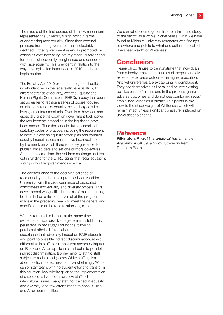The middle of the first decade of the new millennium represented the university's high point in terms of addressing race equality. Since then external pressure from the government has ineluctably declined. Other government agendas prompted by concerns over increasing net migration, disorder and terrorism subsequently marginalised one concerned with race equality. This is evident in relation to the way new legislation introduced in 2010 has been implemented.

The Equality Act 2010 extended the general duties, initially identified in the race relations legislation, to different strands of equality, with the Equality and Human Rights Commission (EHRC), a body that been set up earlier to replace a series of bodies focused on distinct strands of equality, being charged with having an enforcement role. Over time, however, and especially since the Coalition government took power, the requirements embodied in the legislation have been eroded. Thus the specific duties, enshrined in statutory codes of practice, including the requirement to have in place an equality action plan and conduct equality impact assessments, have been replaced by the need, on which there is merely guidance, to publish limited data and set one or more objectives. And at the same time, the red tape challenge and the cut in funding for the EHRC signal that racial equality is sliding down the government's agenda.

The consequence of the declining salience of race equality has been felt graphically at Midshire University, with the disappearance of dedicated committees and equality and diversity officers. This development was justified in terms of mainstreaming but has in fact entailed a reversal of the progress made in the preceding years to meet the general and specific duties of the race relations legislation.

What is remarkable is that, at the same time, evidence of racial disadvantage remains stubbornly persistent. In my study, I found the following: persistent ethnic differentials in the student experience that adversely impact on BME students and point to possible indirect discrimination; ethnic differentials in staff recruitment that adversely impact on Black and Asian applicants and point to possible indirect discrimination; (some) minority ethnic staff subject to racism and (some) White staff cynical about political correctness; an overwhelmingly White senior staff team, with no evident efforts to transform this situation; low priority given to the implementation of a race equality action plan; few staff skilled in intercultural issues; many staff not trained in equality and diversity; and few efforts made to consult Black and Asian communities.

We cannot of course generalise from this case study to the sector as a whole. Nonetheless, what we have found at Midshire University resonates with findings elsewhere and points to what one author has called 'the sheer weight of Whiteness'.

# Conclusion

Research continues to demonstrate that individuals from minority ethnic communities disproportionately experience adverse outcomes in higher education. And yet universities are extraordinarily complacent. They see themselves as liberal and believe existing policies ensure fairness and in the process ignore adverse outcomes and do not see combating racial/ ethnic inequalities as a priority. This points in my view to the sheer weight of Whiteness which will remain intact unless significant pressure is placed on universities to change.

## Reference

Pilkington, A. (2011) Institutional Racism in the Academy: A UK Case Study. Stoke-on-Trent: Trentham Books.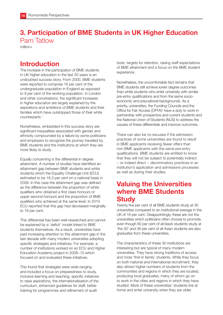# 3. Participation of BME Students in UK Higher Education Pam Tatlow

 $m$ illion $+$ 

# Introduction

The increase in the participation of BME students in UK higher education in the last 20 years is an undoubted success story. From 2000, BME students were reported to comprise 16 per cent of the undergraduate population in England as opposed to 9 per cent of the working population. In London and other conurbations, the significant increases in higher education are largely explained by the aspirations and ambitions of BME students and their families which have outstripped those of their white counterparts.1

Nonetheless, embedded in this success story are significant inequalities associated with gender and ethnicity compounded by a failure by some politicians and employers to recognise the journey travelled by BME students and the institutions at which they are more likely to study.

Equally concerning is the differential in degree attainment. A number of studies have identified an attainment gap between BME students and white students which the Equality Challenge Unit (ECU) estimated to be 18.3 per cent on a national basis in 2009. In this case the attainment gap was defined as the difference between the proportion of white qualifiers who obtained a first class honours or upper second honours and the proportion of BME qualifiers who achieved at the same level. In 2010 ECU reported that this gap had decreased marginally to 18 per cent.

This differential has been well-researched and cannot be explained by a 'deficit' model linked to BME students themselves. As a result, universities have paid increasing attention to this attainment gap in the last decade with many modern universities adopting specific strategies and initiatives. For example, a number of institutions worked on an ECU and Higher Education Academy project in 2008−10 which focused on and evaluated these initiatives.

This found that strategies were wide-ranging and included a focus on preparedness to study, inclusive learning and teaching, specific initiatives to raise aspirations, the internationalisation of the curriculum, enhanced guidelines for staff, better training for programmes and refinement of audit

tools, targets for retention, raising staff expectations of BME attainment and a focus on the BME student experience.

Nonetheless, the uncomfortable fact remains that BME students still achieve lower degree outcomes than white students who enter university with similar pre-entry qualifications and from the same socioeconomic and educational backgrounds. As a priority, universities, the Funding Councils and the Office for Fair Access (OFFA)<sup>2</sup> have a duty to work in partnership with prospective and current students and the National Union of Students (NUS) to address the causes of these differentials and improve outcomes.

There can also be no excuses if the admission practices of some universities are found to result in BME applicants receiving fewer offers than non-BME applicants with the same pre-entry qualifications. BME students are entitled to know that they will not be subject to potentially indirect − or indeed direct − discriminatory practices in an institution's application and admissions processes as well as during their studies.

# Valuing the Universities where BME Students **Study**

Twenty five per cent of all BME students study at 30 universities compared to an institutional average in the UK of 16 per cent. Disappointingly, these are not the universities which politicians often choose to promote, even though 60 per cent of all black students study at 'the 30' and 36 per cent of all Asian students are also graduates from these universities.

The characteristics of these 30 institutions are interesting but are typical of many modern universities. They have strong traditions of access and more 'first-in family' students. While they focus on both national and international recruitment, they also attract higher numbers of students from the communities and regions in which they are located, producing local graduates, many of whom go on to work in the cities and regions in which they have studied. More of these universities' students live at home and enter university when they are older.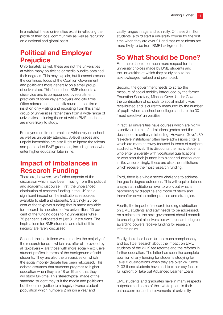In a nutshell these universities excel in reflecting the profile of their local communities as well as recruiting on a national and global basis.

# Political and Employer **Prejudice**

Unfortunately as yet, these are not the universities at which many politicians or media pundits obtained their degrees. This may explain, but it cannot excuse, the continued focus of the Coalition Government and politicians more generally on a small group of universities. This focus does BME students a disservice and is compounded by recruitment practices of some key employers and city firms. Often referred to as 'the milk round', these firms insist on only visiting and recruiting from this small group of universities rather than from a wide range of universities including those at which BME students are more likely to study.

Employer recruitment practices which rely on school as well as university attended, A-level grades and unpaid internships are also likely to ignore the talents and potential of BME graduates, including those who enter higher education later in life.

# Impact of Imbalances in Research Funding

There are, however, two further aspects of the discussion which have been missing from the political and academic discourse. First, the unbalanced distribution of research funding in the UK has a significant impact on the institutional resources available to staff and students. Startlingly, 25 per cent of the taxpayer funding that is made available for research is allocated to five universities; 50 per cent of the funding goes to 12 universities while 75 per cent is allocated to just 31 institutions. The implications for BME students and staff of this inequity are rarely discussed.

Second, the institutions which receive the majority of the research funds − which are, after all, provided by all taxpayers – are those with more socially exclusive student profiles in terms of the background of said students. They are also the universities on which the social mobility debate has been refocused. This debate assumes that students progress to higher education when they are 18 or 19 and that they will study full-time. This stereotypical image of the standard student may suit the media and politicians but it does no justice to a hugely diverse student population which numbers 2 million a year and

vastly ranges in age and ethnicity. Of these 2 million students, a third start a university course for the first time when they are over 21 and mature students are more likely to be from BME backgrounds.

# So What Should be Done?

First there should be much more respect for the university choices made by BME students and the universities at which they study should be acknowledged, valued and promoted.

Second, the government needs to scrap the measure of social mobility introduced by the former Education Secretary, Michael Gove. Under Gove, the contribution of schools to social mobility was recalibrated and is currently measured by the number of pupils whom a school or college sends to the 30 'most selective' universities.

In fact, all universities have courses which are highly selective in terms of admissions grades and the description is entirely misleading. However, Gove's 30 'selective institutions' often have admissions criteria which are more narrowly focused in terms of subjects studied at A level. This discounts the many students who enter university with vocational qualifications or who start their journey into higher education later in life. Unsurprisingly, these are also the institutions which receive the most research funding.

Third, there is a whole sector challenge to address the gap in degree outcomes. This will require detailed analysis at institutional level to work out what is happening by discipline and mode of study and thereafter develop better practice and strategies.

Fourth, the impact of research funding distribution on BME students and staff needs to be addressed. As a minimum, the next government should commit to ensuring that all universities with research degree awarding powers receive funding for research infrastructure.

Finally, there has been far too much complacency and too little research about the impact on BME students of the 2012 fee reforms and the reforms in further education. The latter has seen the complete abolition of any funding for students studying for Level 3 qualifications when they are over 24. Since 2103 these students have had to either pay fees in full upfront or take out Advanced Learner Loans.

BME students and graduates have in many respects outperformed some of their white peers in their enthusiasm for and achievements at university.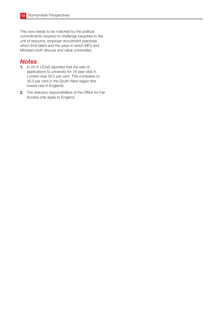This now needs to be matched by the political commitments required to challenge inequities in the unit of resource, employer recruitment practices which limit talent and the ways in which MPs and Ministers both discuss and value universities.

# **Notes**

- 1. In 2014 UCAS reported that the rate of applications to university for 18 year-olds in London was 43.5 per cent. This compares to 30.3 per cent in the South West region (the lowest rate in England).
- 2. The statutory responsibilities of the Office for Fair Access only apply to England.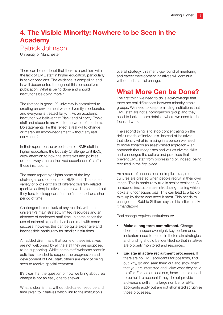# 4. The Visible Minority: Nowhere to be Seen in the Academy

# Patrick Johnson

University of Manchester

There can be no doubt that there is a problem with the lack of BME staff in higher education, particularly in senior positions. The evidence is compelling and is well documented throughout this perspectives publication. What is being done and should institutions be doing more?

The rhetoric is good: 'X University is committed to creating an environment where diversity is celebrated and everyone is treated fairly…. As an academic institution we believe that Black and Minority Ethnic staff and students are vital to the world of academia.' Do statements like this reflect a real will to change or merely an acknowledgement without any real conviction?

In their report on the experiences of BME staff in higher education, the Equality Challenge Unit (ECU) drew attention to how the strategies and policies do not always match the lived experience of staff in those institutions.

The same report highlights some of the key challenges and concerns for BME staff. There are a variety of pilots or trials of different diversity related (positive action) initiatives that are well intentioned but they tend to disappear after the first cohort or a short period of time.

Challenges include lack of any real link with the university's main strategy, limited resources and an absence of dedicated staff time. In some cases the use of external expertise has been met with some success; however, this can be quite expensive and inaccessible particularly for smaller institutions.

An added dilemma is that some of these initiatives are not welcomed by all the staff they are supposed to be supporting. Whilst some staff welcome specific activities intended to support the progression and development of BME staff, others are wary of being seen to receive special treatment.

It's clear that the question of how we bring about real change is not an easy one to answer.

What is clear is that without dedicated resource and time given to initiatives which link to the institution's

overall strategy, this merry-go-round of mentoring and career development initiatives will continue without substantial change.

# What More Can be Done?

The first thing we need to do is acknowledge that there are real differences between minority ethnic groups. We need to keep reminding institutions that BME staff are not a homogenous group and they need to look in more detail at where we need to do focused work.

The second thing is to stop concentrating on the deficit model of individuals. Instead of initiatives that identify what is missing in a person we need to move towards an asset-based approach − an approach that recognises and values diverse skills and challenges the culture and practices that prevent BME staff from progressing or, indeed, being recruited in the first place.

As a result of unconscious or implicit bias, monocultures are created when people recruit in their own image. This is particularly true in senior positions. A number of institutions are introducing training which looks at unconscious bias. This can lead to a lack of take-up by those who need it most. This needs to change – as Robbie Shilliam says in his article, make it mandatory!

Real change requires institutions to:

- Make a long term commitment. Change does not happen overnight, key performance indicators need to be set in their main strategies and funding should be identified so that initiatives are properly monitored and resourced.
- Engage in active recruitment processes. If there are no BME applicants for positions, find out why, go and seek them out and show them that you are interested and value what they have to offer. For senior positions, head-hunters need to be held to account if they do not provide a diverse shortlist. If a large number of BME applicants apply but are not shortlisted scrutinise those processes.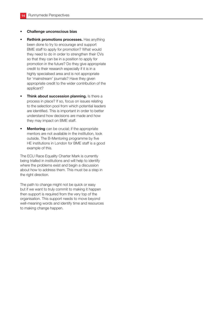#### • Challenge unconscious bias

- **Rethink promotions processes.** Has anything been done to try to encourage and support BME staff to apply for promotion? What would they need to do in order to strengthen their CVs so that they can be in a position to apply for promotion in the future? Do they give appropriate credit to their research especially if it is in a highly specialised area and is not appropriate for 'mainstream' journals? Have they given appropriate credit to the wider contribution of the applicant?
- Think about succession planning. Is there a process in place? If so, focus on issues relating to the selection pool from which potential leaders are identified. This is important in order to better understand how decisions are made and how they may impact on BME staff.
- **Mentoring** can be crucial; if the appropriate mentors are not available in the institution, look outside. The B-Mentoring programme by five HE institutions in London for BME staff is a good example of this.

The ECU Race Equality Charter Mark is currently being trialled in institutions and will help to identify where the problems exist and begin a discussion about how to address them. This must be a step in the right direction.

The path to change might not be quick or easy but if we want to truly commit to making it happen then support is required from the very top of the organisation. This support needs to move beyond well-meaning words and identify time and resources to making change happen.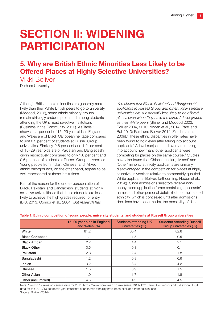# SECTION II: WIDENING PARTICIPATION

# 5. Why are British Ethnic Minorities Less Likely to be Offered Places at Highly Selective Universities? Vikki Boliver

Durham University

Although British ethnic minorities are generally more likely than their White British peers to go to university (Modood, 2012), some ethnic minority groups remain strikingly under-represented among students attending the UK's most selective institutions (Business in the Community, 2010). As Table 1 shows, 1.1 per cent of 15−29 year olds in England and Wales are of Black Caribbean heritage compared to just 0.5 per cent of students at Russell Group universities. Similarly, 2.8 per cent and 1.2 per cent of 15−29 year olds are of Pakistani and Bangladeshi origin respectively compared to only 1.8 per cent and 0.6 per cent of students at Russell Group universities. Young people from Indian, Chinese, and 'Mixed' ethnic backgrounds, on the other hand, appear to be well-represented at these institutions.

Part of the reason for the under-representation of Black, Pakistani and Bangladeshi students at highly selective universities is that these students are less likely to achieve the high grades required for entry (BIS, 2013; Connor et al., 2004). But research has

also shown that Black, Pakistani and Bangladeshi applicants to Russell Group and other highly selective universities are substantially less likely to be offered places even when they have the same A-level grades as their White peers (Shiner and Modood 2002; Boliver 2004, 2013; Noden et al., 2014; Parel and Ball 2013; Parel and Boliver 2014; Zimdars et al., 2009).<sup>1</sup> These ethnic disparities in offer rates have been found to hold even after taking into account applicants' A-level subjects, and even after taking into account how many other applicants were competing for places on the same course.<sup>2</sup> Studies have also found that Chinese, Indian, 'Mixed' and 'Other' minority ethnicity applicants are similarly disadvantaged in the competition for places at highly selective universities relative to comparably qualified White applicants (Boliver, forthcoming; Noden et al., 2014;). Since admissions selectors receive nonanonymised application forms containing applicants' names and other personal details (but not their stated ethnicity, which is concealed until after admissions decisions have been made), the possibility of direct

|                        | 15-29 year olds in England<br>and Wales $(\% )$ | <b>Students attending UK</b><br>universities $(\% )$ | <b>Students attending Russell</b><br>Group universities (%) |
|------------------------|-------------------------------------------------|------------------------------------------------------|-------------------------------------------------------------|
| White                  | 81.2                                            | 80.4                                                 | 82.8                                                        |
| <b>Black Caribbean</b> | 1.1                                             | 1.5                                                  | 0.5                                                         |
| <b>Black African</b>   | 2.2                                             | 4.4                                                  | 2.1                                                         |
| <b>Black Other</b>     | 0.6                                             | 0.3                                                  | 0.1                                                         |
| Pakistani              | 2.8                                             | 2.4                                                  | 1.8                                                         |
| Bangladeshi            | 1.2                                             | 0.8                                                  | 0.6                                                         |
| Indian                 | 3.2                                             | 3.4                                                  | 4.2                                                         |
| Chinese                | 1.5                                             | 0.9                                                  | 1.5                                                         |
| <b>Other Asian</b>     | 1.9                                             | 1.7                                                  | 1.8                                                         |
| Other (incl. mixed)    | 4.5                                             | 4.2                                                  | 4.5                                                         |

#### Table 1. Ethnic composition of young people, university students, and students at Russell Group universities

Note: Column 1 draws on census data for 2011 (https://www.nomisweb.co.uk/census/2011/dc2101ew). Columns 2 and 3 draw on HESA data for the 2012/13 academic year (students of unknown ethnicity have been excluded from calculations). Source: Boliver (2014).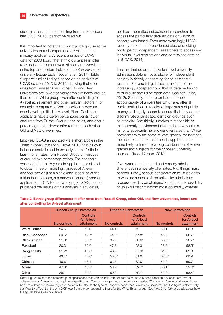discrimination, perhaps resulting from unconscious bias (ECU, 2013), cannot be ruled out.

It is important to note that it is not just highly selective universities that disproportionately reject ethnic minority applicants. A recent analysis of UCAS data for 2008 found that ethnic disparities in offer rates net of attainment were similar for universities in the top and bottom halves of the Sunday Times university league table (Noden et al., 2014). Table 2 reports similar findings based on an analysis of UCAS data for 2010 to 2012, showing that offer rates from Russell Group, other Old and New universities are lower for many ethnic minority groups than for the White group even after controlling for A-level achievement and other relevant factors.<sup>3</sup> For example, compared to White applicants who are equally well qualified at A-level, Black Caribbean applicants have a seven percentage points lower offer rate from Russell Group universities, and a four percentage points lower offer rate from both other Old and New universities.

Last year UCAS announced via a short article in the Times Higher Education (Grove, 2013) that its own in-house analysis had found only a 'small' ethnic bias in offer rates from Russell Group universities of around two percentage points. Their analysis was restricted to 18 year-old applicants predicted to obtain three or more high grades at A level, and focused on just a single (and, because of the tuition fees increase, a somewhat unusual) year of application, 2012. Rather worryingly, UCAS has not published the results of this analysis in any detail,

nor has it permitted independent researchers to access the particularly detailed data on which its analysis was based. Even more worryingly, UCAS recently took the unprecedented step of deciding not to permit independent researchers to access any individual-level applications and admissions data at all (UCAS, 2014).

The fact that detailed, individual-level university admissions data is not available for independent scrutiny is deeply concerning for at least three reasons. For one thing, it flies in the face of the increasingly accepted norm that all data pertaining to public life should be open data (Cabinet Office, 2012). Secondly, it compromises the public accountability of universities which are, after all, public institutions in receipt of large sums of public money and legally bound to ensure that they do not discriminate against applicants on grounds such as ethnicity. And thirdly, it makes it impossible to test currently unevidenced claims about why ethnic minority applicants have lower offer rates than White applicants with the same A-level grades; for instance, the assertion that ethnic minority applicants are more likely to have the wrong combination of A-level grades and subjects for their chosen university courses (Russell Group, 2013).

If we want to understand and remedy ethnic differences in university offer rates, two things must happen. Firstly, serious consideration must be given to whether aspects of the university admissions process need to be changed to reduce the possibility of unlawful discrimination; most obviously, whether

|                        | <b>Russell Group universities</b> |                                              | Other old universities |                                       | <b>New universities</b> |                                              |
|------------------------|-----------------------------------|----------------------------------------------|------------------------|---------------------------------------|-------------------------|----------------------------------------------|
|                        | No controls                       | <b>Controls</b><br>for A-level<br>attainment | No controls            | Controls<br>for A-level<br>attainment | No controls             | <b>Controls</b><br>for A-level<br>attainment |
| <b>White British</b>   | 54.6                              | 52.0                                         | 64.4                   | 62.1                                  | 60.1                    | 60.8                                         |
| <b>Black Caribbean</b> | $29.6*$                           | $44.7*$                                      | $44.0*$                | $57.8*$                               | $46.3*$                 | $56.7*$                                      |
| <b>Black African</b>   | $21.9*$                           | $35.7*$                                      | $35.8*$                | $50.6*$                               | $36.8*$                 | $50.7*$                                      |
| Pakistani              | $30.3*$                           | $39.6*$                                      | $47.8*$                | $58.3*$                               | $58.2*$                 | $58.5*$                                      |
| Bangladeshi            | $31.2*$                           | $42.6*$                                      | $48.9*$                | $57.9*$                               | 61.3                    | 62.3                                         |
| Indian                 | $43.1*$                           | $47.6*$                                      | $58.6*$                | 61.9                                  | $62.8*$                 | 60.9                                         |
| Chinese                | $49.6*$                           | $48.4*$                                      | 63.5                   | 62.0                                  | 61.9                    | 59.7                                         |
| Mixed                  | $47.8*$                           | $48.8*$                                      | $58.2*$                | $59.7*$                               | $56.1*$                 | $59.0*$                                      |
| Other                  | $36.1*$                           | $44.2*$                                      | $50.0*$                | $59.7*$                               | $53.2*$                 | $58.4*$                                      |

Table 2. Ethnic group differences in offer rates from Russell Group, other Old, and New universities, before and after controlling for A-level attainment

Note: Figures refer to the percentage of applications met with an initial offer of admission, usually conditional on a subsequent level of achievement at A-level or in an equivalent qualification. The percentages under the columns headed 'Controls for A-level attainment' have been calculated for the average application submitted to the type of university concerned. An asterisk indicates that the figure is statistically significantly different at the p. < 0.05 level from the corresponding figure for the White British group. See Note 3 for further details about how the figures have been calculated.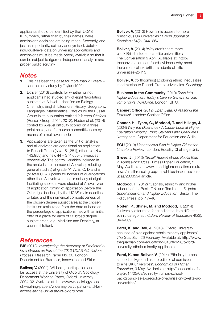applicants should be identified by their UCAS ID numbers, rather than by their names, while admissions decisions are being made. Secondly, and just as importantly, suitably anonymised, detailed, individual-level data on university applications and admissions must be made openly available so that it can be subject to rigorous independent analysis and proper public scrutiny.

# **Notes**

- 1. This has been the case for more than 20 years see the early study by Taylor (1992).
- 2. Boliver (2013) controls for whether or not applicants had studied any of eight 'facilitating subjects' at A level – identified as Biology, Chemistry, English Literature, History, Geography, Languages, Mathematics, Physics by the Russell Group in its publication entitled Informed Choices (Russell Group, 2011, 2012). Noden et al. (2014) control for A-level difficulty scored on a three point scale, and for course competitiveness by means of a multilevel model.
- **3.** Applications are taken as the unit of analysis and all analyses are conditional on application to Russell Group ( $N = 151,281$ ), other old ( $N =$ 143,958) and new ( $N = 374,685$ ) universities respectively. The control variables included in the analysis are: number of A levels (excluding general studies) at grade A\*, A, B, C, D and E (or total UCAS points for holders of qualifications other than A level); whether or not any of eight facilitating subjects were studied at A level; year of application; timing of application (before the Oxbridge deadline, by the UCAS main deadline, or late), and the numerical competitiveness of the chosen degree subject area at the chosen institution (calculated from the data at hand as the percentage of applications met with an initial offer of a place for each of 23 broad degree subject areas, e.g. Medicine and Dentistry, at each institution).

# References

**BIS** (2013) Investigating the Accuracy of Predicted A level Grades as Part of the 2010 UCAS Admissions Process, Research Paper No. 20. London: Department for Business, Innovation and Skills.

Boliver, V. (2004) 'Widening participation and fair access at the University of Oxford'. Sociology Department Working Paper, Oxford University 2004-02. Available at: http://www.sociology.ox.ac. uk/working-papers/widening-participation-and-fairaccess-at-the-university-of-oxford.html

**Boliver, V.** (2013) How fair is access to more prestigious UK universities? British Journal of Sociology 64(2): 344−364.

**Boliver, V.** (2014) 'Why aren't there more black British students at elite universities?' The Conversation 9 April. Available at: http:// theconversation.com/hard-evidence-why-arentthere-more-black-british-students-at-eliteuniversities-25413

**Boliver, V.** (forthcoming) Exploring ethnic inequalities in admission to Russell Group Universities. Sociology.

**Business in the Community** (2010) Race into Higher Education: Today's Diverse Generation into Tomorrow's Workforce. London: BITC.

**Cabinet Office** (2012) Open Data: Unleashing the Potential. London: Cabinet Office.

Connor, H., Tyers, C., Modood, T. and Hillage, J. (2004) Why the Difference? A Closer Look at Higher Education Minority Ethnic Students and Graduates. Nottingham: Department for Education and Skills.

ECU (2013) Unconscious Bias in Higher Education: Literature Review. London: Equality Challenge Unit.

Grove, J. (2013) 'Small' Russell Group Racial Bias in Admissions: Ucas. Times Higher Education, 2 May. Available at: www.timeshighereducation.co.uk/ news/small-russell-group-racial-bias-in-admissionsucas/2003594.article.

Modood, T. (2012) 'Capitals, ethnicity and higher education'. In: Basit, T.N. and Tomlinson, S. (eds) Social Inclusion and Higher Education. Bristol: The Policy Press, pp. 17−40.

Noden, P., Shiner, M. and Modood, T. (2014) 'University offer rates for candidates from different ethnic categories'. Oxford Review of Education 40(3): 349−369.

Parel, K. and Ball, J. (2013) 'Oxford University accused of bias against ethnic minority applicants'. The Guardian, 26 February. Available at: http://www. theguardian.com/education/2013/feb/26/oxforduniversity-ethnic-minority-applicants.

Parel, K. and Boliver, V. (2014) 'Ethnicity trumps school background as a predictor of admission to elite UK universities'. Economics of Higher Education, 9 May. Available at: http://economicsofhe. org/2014/05/09/ethnicity-trumps-schoolbackground-as-a-predictor-of-admission-to-elite-ukuniversities/.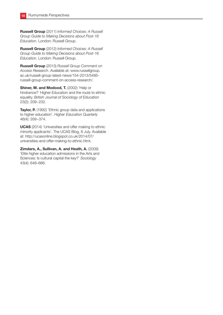Russell Group (2011) Informed Choices: A Russell Group Guide to Making Decisions about Post-16 Education. London: Russell Group.

Russell Group (2012) Informed Choices: A Russell Group Guide to Making Decisions about Post-16 Education. London: Russell Group.

Russell Group (2013) Russell Group Comment on Access Research. Available at: www.russellgroup. ac.uk/russell-group-latest-news/154-2013/5485 russell-group-comment-on-access-research/.

Shiner, M. and Modood, T. (2002) 'Help or hindrance?' Higher Education and the route to ethnic equality. British Journal of Sociology of Education 23(2): 209−232.

Taylor, P. (1992) 'Ethnic group data and applications to higher education'. Higher Education Quarterly 46(4): 359−374.

**UCAS** (2014) 'Universities and offer making to ethnic minority applicants'. The UCAS Blog, 8 July. Available at: http://ucasonline.blogspot.co.uk/2014/07/ universities-and-offer-making-to-ethnic.html.

Zimdars, A., Sullivan, A. and Heath, A. (2009) 'Elite higher education admissions in the Arts and Sciences: Is cultural capital the key?' Sociology 43(4): 648–666.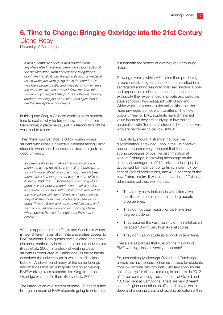# 6. Time to Change: Bringing Oxbridge into the 21st Century Diane Reay

University of Cambridge

It was a complete shock, it was different from anywhere else I have ever been, it was too traditional, too old fashioned, from another time altogether. I didn't like it at all. It was like going through a medieval castle when you were going down the corridors. It was like a proper castle, and I was thinking – where's the moat, where's the armour? Save me from this. You know, you expect little pictures with eyes moving around, watching you all the time. And I just didn't like the atmosphere, not one bit.

In this quote Ong, a Chinese working class student, tries to explain why he turned down an offer from Cambridge; a place he says all his friends thought he was mad to refuse.

Then there was Candice, a Black working-class student who raises a collective dilemma facing Black students when she discusses her desire to go to 'a good university':

It's been really scary thinking that you could have made the wrong decision, very anxiety inducing… .I think it's more difficult if no one in your family's been there. I think in a funny sort of way it's more difficult if you're Black too…. Because you want to go to a good university but you don't want to stick out like a sore thumb. It's sad isn't it? I've sort of avoided all the universities with lots of Black students because they're all the universities which aren't seen as so good. If you're Black and not very middle class and want to do well then you end up choosing places where people like you don't go and I think that's difficult.

What is apparent in both Ong's and Candice's words is how different, even alien, elite universities appear to BME students. Both quotes reveal a class and ethnic distance, particularly in relation to the elite universities (Reay et al., 2005). In a study of working class students I conducted at Cambridge, all the students described the university as 'a white, middle class bubble'. And we found many of the same feelings and attitudes that led a majority of high achieving, BME working class students, like Ong, to decide Oxbridge was not for them (Reay et al., 2009).

The introduction of a system of mass HE has resulted in large numbers of BME students going to university

but beneath the veneer of diversity lies a troubling divide.

Growing diversity within HE, rather than producing a more inclusive higher education, has resulted in a segregated and increasingly polarised system. Upper and upper middle class pursuit of the educational exclusivity they experienced in private and selective state schooling has relegated both Black and White working classes to the universities that the more privileged do not want to attend. The new opportunities for BME students have diminished value because they are studying in low ranking universities with 'too many' students like themselves who are perceived to be 'low status'.

I have always found it strange that positive discrimination is frowned upon in the UK context because it seems very apparent that there are strong processes of positive discrimination at work in Oxbridge, bestowing advantage on the already advantaged. In 2012, private school pupils accounted for 7 per cent of British children, 37 per cent of Oxford applications, and 42.5 per cent of the new Oxford intake. If we take a snapshot of Oxbridge admissions policies, we find that:

- They rarely allow individuals with alternative qualification routes into their undergraduate programmes.
- They do not cater readily for part-time firstdegree students.
- They assume the vast majority of their intakes will be aged 18 with very high A-level scores.
- They don't allow students to work in term time.

These are all policies that rule out the majority of BME working class university applicants!

So, unsurprisingly, although Oxford and Cambridge universities have access schemes in place for students from low income backgrounds, very few apply (or are able to apply) for places, resulting in an intake in 2012 of 11 per cent working-class students at Oxford and 10.3 per cent at Cambridge. There are very different sorts of higher education on offer and they reflect a deep and widening class and racial stratification within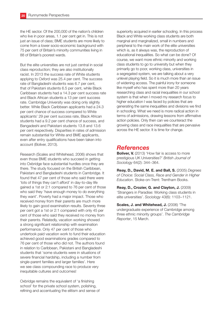the HE sector. Of the 200,000 of the nation's children who live in poor areas, 1.1 per cent get in. This is not just an issue of class; BME students are more likely to come from a lower socio-economic background with 75 per cent of Britain's minority communities living in 88 of Britain's poorest wards.

But the elite universities are not just central in social class reproduction; they are also institutionally racist. In 2013 the success rate of White students applying to Oxford was 25.4 per cent. The success rate of Bangladeshi students was 6.7 per cent, that of Pakistani students 6.5 per cent, while Black Caribbean students had a 14.3 per cent success rate and Black African students a 13 per cent success rate. Cambridge University was doing only slightly better. While Black Caribbean applicants had a 24.3 per cent chance of success compared to White applicants' 29 per cent success rate, Black African students had a 9.2 per cent chance of success, and Bangadeshi and Pakistani students 13.8 and 13.6 per cent respectively. Disparities in rates of admission remain substantial for White and BME applicants, even after entry qualifications have been taken into account (Boliver, 2013).

Research (Scales and Whitehead, 2006) shows that even those BME students who succeed in getting into Oxbridge face substantial hurdles once they are there. The study focused on the British Caribbean, Pakistani and Bangladeshi students in Cambridge. It found that 47 per cent of those who said there were 'lots of things they can't afford' in day-to-day life gained a 1st or 2:1 compared to 76 per cent of those who said they 'have enough money to do everything they want'. Poverty had a major impact. Those who received money from their parents are much more likely to gain good examination results. Seventy three per cent got a 1st or 2:1 compared with only 45 per cent of those who said they received no money from their parents. Relatedly, vacation working showed a strong significant relationship with examination performance. Only 47 per cent of those who undertook paid vacation work to fund their education achieved good examinations grades compared to 76 per cent of those who did not. The authors found in relation to Caribbean, Pakistani and Bangladeshi students that 'some students were in situations of severe financial hardship, including a number from single-parent families and larger families'. Here we see class compounding race to produce very inequitable cultures and outcomes!

Oxbridge remains the equivalent of 'a finishing school' for the private school system, polishing, refining and accentuating the elitism and sense of superiority acquired in earlier schooling. In this process Black and White working class students are both marginal and marginalized, small in numbers and peripheral to the main work of the elite universities which is, as it always was, the reproduction of educational inequalities. So what can be done? Of course, we want more ethnic minority and working class students to go to university but when they primarily go to poor, working class, universities in a segregated system, we are talking about a very unlevel playing field. So it is much more than an issue of widening access. The painful irony for someone like myself who has spent more than 20 years researching class and racial inequalities in our school system is that when I moved my research focus to higher education I was faced by policies that are generating the same inequalities and divisions we find in schooling. What we need is more radical action in terms of admissions, drawing lessons from affirmative action policies. Only then can we counteract the growing class and race inequalities that are pervasive across the HE sector. It is time for change.

## **References**

**Boliver, V.** (2013) 'How fair is access to more prestigious UK Universities?' British Journal of Sociology 64(2): 344−364.

Reay, D., David, M. E. and Ball, S. (2005) Degrees of Choice: Social Class, Race and Gender in Higher Education. Stoke-on-Trent: Trentham Books.

Reay, D., Crozier, G. and Clayton, J. (2009) 'Strangers in Paradise: Working class students in elite universities'. Sociology 43(6): 1103−1121.

Scales, J. and Whitehead, J. (2006) 'The undergraduate experience of Cambridge among three ethnic minority groups'. The Cambridge Reporter, 15 March.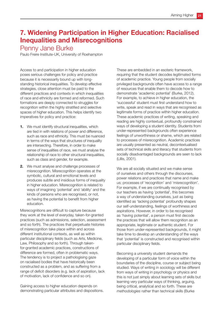# 7. Widening Participation in Higher Education: Racialised Inequalities and Misrecognitions

# Penny Jane Burke

Paulo Freire Institute-UK, University of Roehampton

Access to and participation in higher education poses serious challenges for policy and practice because it is necessarily bound up with longstanding historical inequalities. To develop effective strategies, close attention must be paid to the different practices and contexts in which inequalities of race and ethnicity are formed and reformed. Such formations are deeply connected to struggles for recognition within the highly stratified and selective spaces of higher education. This helps identify two imperatives for policy and practice:

- **1.** We must identify structural inequalities, which are tied in with relations of power and difference, such as race and ethnicity. This must be nuanced in terms of the ways that structures of inequality are intersecting. Therefore, in order to make sense of inequalities of race, we must analyse the relationship of race to other structural inequalities, such as class and gender, for example.
- 2. We must analyse and challenge processes of misrecognition. Misrecognition operates at the symbolic, cultural and emotional levels and produces subtle and insidious forms of inequality in higher education. Misrecognition is related to ways of imagining 'potential' and 'ability' and the kinds of persons who are recognised, or not, as having the potential to benefit from higher education.

Misrecognitions are difficult to capture because they work at the level of everyday, taken-for-granted practices (such as admissions, selection, assessment and so forth). The practices that perpetuate histories of misrecognition take place within and across different institutional contexts, as well as within particular disciplinary fields (such as Arts, Medicine, Law, Philosophy and so forth). Through takenfor-granted academic practices, constructions of difference are formed, often in problematic ways. The tendency is to project a pathologising gaze on racialised bodies that have historically been constructed as a problem, and as suffering from a range of deficit disorders (e.g. lack of aspiration, lack of motivation, lack of confidence and so on).

Gaining access to higher education depends on demonstrating particular attributes and dispositions. These are embedded in an esoteric framework, requiring that the student decodes legitimated forms of academic practice. Young people from socially privileged backgrounds often have access to a range of resources that enable them to decode how to demonstrate 'academic potential' (Burke, 2012). For example, to achieve in higher education, the 'successful' student must first understand how to write, speak and read in ways that are recognised as legitimate forms of practice within higher education. These academic practices of writing, speaking and reading are highly contextual, profoundly constrained ways of developing a student identity. Students from under-represented backgrounds often experience feelings of unworthiness or shame, which are related to processes of misrecognition. Academic practices are usually presented as neutral, decontextualised sets of technical skills and literacy that students from socially disadvantaged backgrounds are seen to lack (Lillis, 2001).

We are all socially situated and we make sense of ourselves and others through the discourses, power relations and practices that name and make us; processes of 'recognition' and 'misrecognition'. For example, if we are continually recognised by our teachers as having 'potential', this becomes a way of understanding ourselves, just as being identified as 'lacking potential' profoundly shapes our self-understanding, feelings of worthiness and aspirations. However, in order to be recognised as 'having potential', a person must first decode the practices that will allow them recognition as an appropriate, legitimate or authentic student. For those from under-represented backgrounds, it might take time to develop an understanding of the ways that 'potential' is constructed and recognised within particular disciplinary fields.

Becoming a university student demands the developing of a particular form of voice within the boundaries of the discipline, course or subject being studied. Ways of writing in sociology will be different from ways of writing in psychology or physics and this is not just simply about learning sets of skills but learning very particular ways of thinking, arguing, being critical, analytical and so forth. These are methodologies rather than technical skills (Burke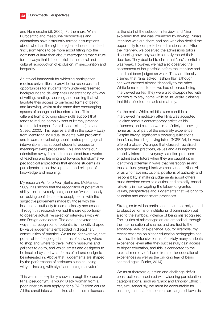and Hermerschmidt, 2005). Furthermore, White, Eurocentric and masculine perspectives and orientations have historically formed assumptions about who has the right to higher education. Indeed, 'inclusion' tends to be more about fitting into the dominant culture than about interrogating that culture for the ways that it is complicit in the social and cultural reproduction of exclusion, misrecognition and inequality.

An ethical framework for widening participation requires universities to provide the resources and opportunities for students from under-represented backgrounds to develop their understanding of ways of writing, reading, speaking and learning that will facilitate their access to privileged forms of being and knowing, whilst at the same time encouraging spaces of change and transformation. This is different from providing study skills support that tends to reduce complex sets of literacy practice to remedial support for skills acquisition (Lea and Street, 2000). This requires a shift in the gaze – away from identifying individual students 'with problems' and towards developing sophisticated pedagogical interventions that support students' access to meaning-making processes. This also shifts our orientation away from instrumentalised frameworks of teaching and learning and towards transformative pedagogical approaches that engage students as participants in the development, and critique, of knowledge and meaning.

My research *Art for a Few (Burke and McManus,* 2009) has shown that the recognition of potential or ability – or conversely being seen as 'weak', 'needy' or 'lacking confidence' – is deeply tied in with the subjective judgements made by those with the institutional authority to name, classify and assess. Through this research we had the rare opportunity to observe actual live selection interviews with Art and Design candidates. The data uncovered the ways that recognition of potential is implicitly shaped by value judgements embedded in disciplinary communities of practice. We found, for example, that potential is often judged in terms of knowing where to shop and where to travel, which museums and galleries to go to, and which artists and designers to be inspired by, and what forms of art and design to be interested in. Above that, judgements are shaped by the performance of attributes such as 'being witty', 'dressing with style' and 'being motivated'.

This was most explicitly shown through the case of Nina (pseudonym), a young Black woman from a poor inner city area applying for a BA Fashion course. All the candidates were asked about their influences

at the start of the selection interview, and Nina explained that she was influenced by hip-hop. Nina's interview was cut short, and she was also denied the opportunity to complete her admissions test. After the interview, we observed the admissions tutors discussing how they would formally record their decision. They decided to claim that Nina's portfolio was weak. However, we had also observed the assessment of her portfolio before the interview and it had not been judged as weak. They additionally claimed that Nina lacked 'fashion flair' although she was dressed almost identically to the other White female candidates we had observed being interviewed earlier. They were also disappointed with her desire to stay home while at university, claiming that this reflected her lack of maturity.

Yet the male, White, middle class candidate interviewed immediately after Nina was accepted. He cited famous contemporary artists as his influences, and said he would 'definitely be leaving home as it's all part of the university experience'. Despite having significantly poorer qualifications than Nina, including having failed GCSE Art, he was offered a place. We argue that classed, racialised and gendered practices, values and assumptions implicitly inform the everyday selection practices of admissions tutors when they are caught up in identifying potential in ways that misrecognise and thus exclude young black women such as Nina. All of us who have institutional positions of authority and responsibility in making judgements about others must therefore exercise a critical and ethically-based reflexivity in interrogating the taken-for-granted values, perspectives and judgements that we bring to selection and assessment processes.

Strategies to widen participation must not only attend to objective forms of institutional discrimination but also to the symbolic violence of being misrecognised. The injuries of misrecognition are embodied, through the internalisation of shame, and are tied to the emotional level of experience. So, for example, my recent research on higher education pedagogies has revealed the intensive forms of anxiety many students experience, even after they successfully gain access to higher education, and this is connected to the residual memory of shame from earlier educational experiences as well as the ongoing fear of being shamed again (Burke, 2014).

We must therefore question and challenge deficit constructions associated with widening participation categorisations, such as 'Black and Minority Ethnic'. Yet, simultaneously, we must be accountable for ensuring that scarce resources are targeted towards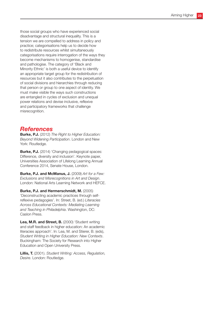those social groups who have experienced social disadvantage and structural inequality. This is a tension we are compelled to address in policy and practice; categorisations help us to decide how to redistribute resources whilst simultaneously categorisations require interrogation of the ways they become mechanisms to homogenise, standardise and pathologise. The category of 'Black and Minority Ethnic' is both a useful device to identify an appropriate target group for the redistribution of resources but it also contributes to the perpetuation of social divisions and hierarchies through reducing that person or group to one aspect of identity. We must make visible the ways such constructions are entangled in cycles of exclusion and unequal power relations and devise inclusive, reflexive and participatory frameworks that challenge misrecognition.

## **References**

**Burke, P.J.** (2012) The Right to Higher Education: Beyond Widening Participation. London and New York: Routledge.

Burke, P.J. (2014) 'Changing pedagogical spaces: Difference, diversity and inclusion'. Keynote paper, Universities Association of Lifelong Learning Annual Conference 2014, Senate House, London.

Burke, P.J. and McManus, J. (2009) Art for a Few: Exclusions and Misrecognitions in Art and Design. London: National Arts Learning Network and HEFCE.

Burke, P.J. and Hermerschmidt, M. (2005) 'Deconstructing academic practices through selfreflexive pedagogies'. In: Street, B. (ed.) Literacies Across Educational Contexts: Mediating Learning and Teaching in Philadelphia. Washington, DC: Caslon Press.

Lea, M.R. and Street, B. (2000) 'Student writing and staff feedback in higher education: An academic literacies approach'. In: Lea, M. and Stierer, B. (eds), Student Writing in Higher Education: New Contexts. Buckingham: The Society for Research into Higher Education and Open University Press.

Lillis, T. (2001). Student Writing: Access, Regulation, Desire. London: Routledge.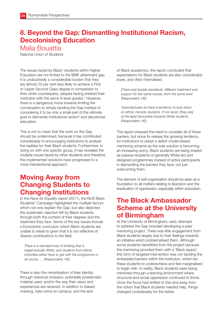# 8. Beyond the Gap: Dismantling Institutional Racism, Decolonising Education

Malia Bouattia

National Union of Students

The issues faced by Black<sup>1</sup> students within Higher Education are not limited to the BME attainment gap. It is undoubtedly a considerable burden that they are almost 20 per cent less likely to achieve a First or Upper Second Class degree in comparison to their white counterparts, despite having entered their institution with the same A-level grades.<sup>2</sup> However, there is a dangerous move towards limiting the conversation to simply tackling the Gap instead of considering it to be only a small part of the ultimate goal to dismantle institutional racism<sup>3</sup> and decolonise education.

This is not to mean that the work on the Gap should be undermined, because it has contributed considerably to encouraging institutions to analyse the realities for their Black students. Furthermore, in doing so with one specific group, it has revealed the multiple issues faced by other students and therefore the implemented solutions have progressed to a more intersectional approach.

# Moving Away from Changing Students to Changing Institutions

In the Race for Equality report (2011), the NUS Black Students' Campaign highlighted the multiple factors which not only explain the Gap, but also depicted the systematic rejection felt by Black students through both the content of their degrees and the treatment they face. Some of the key issues include a Eurocentric curriculum which Black students are unable to relate to given that it is not reflective of diverse contributions to the field.

There is a standard way of thinking that is hegemonically White, and students from ethnic minorities either have to get with the programme or do worse …. (Respondent, HE)

There is also the minoritisation of their identity through historical omission, potentially problematic material used, and/or the way their views and experiences are received. In addition to biased marking, hate crime on campus, and the lack

of Black academics, the report concluded that expectations for Black students are also considerably lower, and often internalised.

[There are] double standards: different treatment and support for the same course, from the same tutor. (Respondent, HE)

Tutors/lectures do have a tendency to look down on ethnic minority students. If not racist, [they are] at the least favourable towards White students. (Respondent, HE)

The report stressed the need to consider all of these barriers, but since its release the growing tendency for institutions to adopt a deficit model-based mentoring scheme as the sole solution is becoming an increasing worry. Black students are being treated as passive recipients of generally White-led and designed programmes instead of active participants in dismantling the barriers they face; not just overcoming them.

The element of self-organisation should be seen as a foundation to all matters relating to liberation and the eradication of oppression, especially within education.

# The Black Ambassador Scheme at the University of Birmingham

At the University of Birmingham, early attempts to address the Gap included developing a peer mentoring project. There was little engagement from Black students largely due to their feelings towards an initiative which problematised them. Although some students benefitted from the project because the mentoring provided them with a 'Black space', this form of targeted intervention was not tackling the embedded barriers within the institution, which led these students to underachieve and feel marginalised to begin with. In reality, Black students were being mentored through a learning environment where structural and social oppression continued to thrive. Once the focus had shifted to this and away from the notion that Black students needed help, things changed considerably for the better.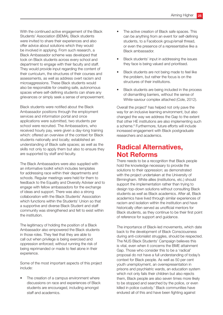With the continued active engagement of the Black Students' Association (BEMA), Black students were invited to share their experiences and also offer advice about solutions which they would be involved in applying. From such research, a Black Ambassador scheme was developed that took on Black students across every school and department to engage with their faculty and staff. They would provide input regarding the content of their curriculum, the structures of their courses and assessments, as well as address overt racism and microaggressions. These Black students would also be responsible for creating safe, autonomous spaces where self-defining students can share any grievances or simply seek a sense of empowerment.

Black students were notified about the Black Ambassador positions through the employment services and information portal and once applications were submitted, two students per school were recruited. The Ambassadors, who received hourly pay, were given a day-long training which: offered an overview of the context for Black students nationally and locally; established an understanding of Black safe spaces; as well as the skills not only to apply them but also to ensure they are supported by staff and faculty.

The Black Ambassadors were also supplied with an informative toolkit which includes templates for addressing race within their departments and schools. Regular meetings were held for them to feedback to the Equality and Diversity Adviser and to engage with fellow ambassadors for the exchange of ideas and support. There was also a strong collaboration with the Black Students' Association which functions within the Students' Union so that a supportive and diverse Black Student and staff community was strengthened and felt to exist within the institution.

The legitimacy of holding the position of a Black Ambassador also empowered the Black students in those roles. They feel that they are able to call out when privilege is being exercised and oppression enforced; without running the risk of being reprimanded or made to feel alone in their experience.

Some of the most important aspects of this project include:

The creation of a campus environment where discussions on race and experiences of Black students are encouraged, including amongst staff and academics.

- The active creation of Black safe spaces. This can be anything from an event for self-defining students, to a Facebook group/email thread, or even the presence of a representative like a Black ambassador.
- Black students' input in addressing the issues they face is being valued and prioritised.
- Black students are not being made to feel like the problem, but rather the focus is on the structures of their institutions.
- Black students are being included in the process of dismantling barriers, without the sense of White-saviour complex attached (Cole, 2012).

Overall the project<sup>5</sup> has helped not only pave the way for an inclusive learning environment, but also changed the way we address the Gap to the extent that other HE institutions are also implementing such a scheme.<sup>6</sup> Furthermore, future efforts will include increased engagement with Black postgraduate researchers and academics.

# Radical Alternatives, Not Reforms

There needs to be a recognition that Black people hold the knowledge necessary to provide the solutions to their oppression; as demonstrated with the project undertaken at the University of Birmingham. White allies (institutions, etc.) should support the implementation rather than trying to design top-down solutions without consulting Black students as well as Black academics. After all, Black academics have lived through similar experiences of racism and isolation within the institution and have historically often served as unofficial mentors for Black students, as they continue to be their first point of reference for support and guidance.

The importance of Black-led movements, which date back to the development of Black Consciousness during anti-colonialist struggles, should be respected. The NUS Black Students' Campaign believes this is vital, even when it concerns the BME attainment Gap. Those who consider this to be a 'radical' proposal do not have a full understanding of today's context for Black people. As well as 50 per cent youth unemployment, an overrepresentation in prisons and psychiatric wards, an education system which not only fails their children but also rejects them, Black people are also seven times more likely to be stopped and searched by the police, or even killed in police custody.<sup>7</sup> Black communities have endured all of this and have been fighting against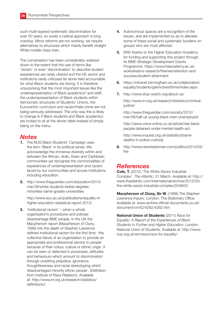such multi-layered systematic discrimination for over 50 years, so surely a radical approach is long overdue. Minor reforms are not working, we require alternatives to structures which mainly benefit straight White middle-class men.

The conversation has been considerably watered down to the extent that the use of terms like 'racism' or even 'discrimination' to describe student experiences are rarely uttered and the HE sector and institutions rarely criticised let alone held accountable for what Black students are facing. It is therefore unsurprising that the most important issues like the underrepresentation of Black academics<sup>8</sup> and staff, the underrepresentation of Black students within democratic structures of Students' Unions, the Eurocentric curriculum and racism/hate crime are not being seriously addressed. The only way this is likely to change is if Black students and Black academics are invited to sit at the dinner table instead of simply being on the menu.

# **Notes**

- 1. The NUS Black Students' Campaign uses the term 'Black' in its political sense. We acknowledge the immense diversity within and between the African, Arab, Asian and Caribbean communities yet recognise the commonalities of experiences of underrepresentation and racism faced by our communities and across institutions including education.
- 2. http://www.theguardian.com/education/2014/ mar/28/white-students-better-degreesminorities-same-grades-universities

http://www.ecu.ac.uk/publications/equality-inhigher-education-statistical-report-2013/

3. 'Institutional racism' – when a whole organisation's procedures and policies disadvantage BME people. In the UK the Macpherson report (Macpherson of Cluny, 1999) into the death of Stephen Lawrence defined institutional racism for the first time: 'the collective failure of an organisation to provide an appropriate and professional service to people because of their colour, culture or ethnic origin. It can be seen or detected in processes, attitudes and behaviours which amount to discrimination through unwitting prejudice, ignorance, thoughtlessness and racial stereotyping which disadvantaged minority ethnic people'. (Definition from Institute of Race Relations. Available at: http://www.irr.org.uk/research/statistics/ definitions/)

- 4. Autonomous spaces are a recognition of the issues, and are implemented so as to alleviate some of these social and systematic burdens on groups who are most affected.
- **5.** With thanks to the Higher Education Academy for funding and supporting this project through its BME-Strategic Development Grants Programme. https://www.heacademy.ac.uk/ workstreams-research/themes/retention-andsuccess/student-attainment
- 6. https://intranet.birmingham.ac.uk/collaboration/ equality/students/getinvolved/bme/index.aspx
- 7. http://www.stop-watch.org/about-us/

http://www.irr.org.uk/research/statistics/criminaljustice/

http://www.theguardian.com/society/2012/ mar/09/half-uk-young-black-men-unemployed

http://www.voice-online.co.uk/article/rise-blackpeople-detained-under-mental-health-act

http://www.inquest.org.uk/statistics/bamedeaths-in-police-custody

8. http://www.newstatesman.com/politics/2014/03/ the

# **References**

Cole, T. (2012) 'The White-Savior Industrial Complex'. The Atlantic, 21 March. Available at: http:// www.theatlantic.com/international/archive/2012/03/ the-white-savior-industrial-complex/254843/

Macpherson of Cluny, Sir W. (1999) The Stephen Lawrence Inquiry. London: The Stationery Office. Available at: www.archive.official-documents.co.uk/ document/cm42/4262/4262.htm

National Union of Students (2011) Race for Equality: A Report of the Experiences of Black Students in Further and Higher Education. London: National Union of Students. Available at: http://www. nus.org.uk/en/news/race-for-equality/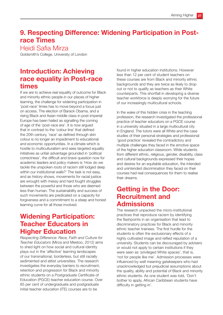# 9. Respecting Difference: Widening Participation in Postrace Times

Heidi Safia Mirza

Goldsmith's College, University of London

# Introduction: Achieving race equality in Post-race times

If we are to achieve real equality of outcome for Black and minority ethnic people in our places of higher learning, the challenge for widening participation in 'post-race' times has to move beyond a focus just on access. The election of Barack Obama, and a rising Black and Asian middle class in post-imperial Europe has been hailed as signalling the coming of age of the 'post-race era'. It is now argued that in contrast to the 'colour line' that defined the 20th century, 'race' as defined through skin colour is no longer an impediment to educational and economic opportunities. In a climate which is hostile to multiculturalism and sees targeted equality initiatives as unfair advantage grounded in 'political correctness', the difficult and brave question now for academic leaders and policy makers is 'How do we tackle the unspoken roots of racism still lodged deep within our institutional walls?' The task is not easy, and as history shows, movements for racial justice are wrought with messy and hard fought struggles between the powerful and those who are deemed less than human. The sustainability and success of such movements are predicated on a capacity for forgiveness and a commitment to a steep and honest learning curve for all those involved.

# Widening Participation: Teacher Educators in **Higher Education**

Respecting Difference: Race, Faith and Culture for Teacher Educators (Mirza and Meetoo, 2012) aims to shed light on how social and cultural identity plays out in the 'affective' learning landscapes of our transnational, borderless, but still racially sedimented and elitist universities. The research investigates the everyday barriers to recruitment, retention and progression for Black and minority ethnic students on a Postgraduate Certificate of Education (PGCE) teacher education course. Over 85 per cent of undergraduate and postgraduate initial teacher education (ITE) courses are to be

found in higher education institutions. However less than 12 per cent of student teachers on these courses are from Black and minority ethnic backgrounds and they are twice as likely to drop out or not to qualify as teachers as their White counterparts. This shortfall in developing a diverse teacher workforce is deeply worrying for the future of our increasingly multicultural schools.

In the wake of this hidden crisis in the teaching profession, the research investigated the professional practice of teacher educators on a PGCE course in a university situated in a large multicultural city in England. The tutors were all White and the case studies of their personal strategies and professional 'good practice' revealed the contradictory and multiple challenges they faced in the emotive space of the higher education classroom. While students from different ethnic, religious, gender, disability, class and cultural backgrounds expressed their hopes and desires for an equitable education, the intended and unintended discrimination they faced on their courses had real consequences for them to realise their dreams.

# Getting in the Door: Recruitment and Admissions

The research unpacked the micro-institutional practices that reproduce racism by identifying the flashpoints in an organisation that lead to discriminatory practices for Black and minority ethnic teacher trainees. The first hurdle for the students is often the exclusionary effects of a highly cultivated image and reified reputation of a university. Students can be discouraged by advisers or would not apply to certain institutions if they were seen as 'privileged White spaces', that is, 'not for people like me'. Admission processes were influenced by well meaning gatekeepers who had unacknowledged but prejudicial assumptions about the quality, ability and potential of Black and minority ethnic students. As one student was told, 'Don't bother to apply, African Caribbean students have difficulty in getting in'.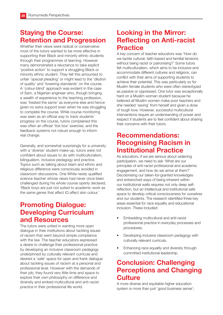# Staying the Course: Retention and Progression

Whether their views were radical or conservative most of the tutors wanted to be more effective in supporting their Black and minority ethnic students through their programmes of learning. However many demonstrated a reluctance to take explicit 'positive action' to support a struggling Black or minority ethnic student. They felt this amounted to unfair 'special pleading' or might lead to the 'dilution of quality' and 'lowering standards' on the course. A 'colour-blind' approach was evident in the case of Sam, a Nigerian engineer who, though bringing a wealth of experience to the teaching profession, was 'treated the same' as everyone else and hence given no extra support even when he was struggling to complete the course. While course monitoring was seen as an official way to track students' progress on the course, tutors complained this was often an official 'tick box' exercise, and the feedback systems not robust enough to inform real change.

Generally, and somewhat surprisingly for a university with a 'diverse' student make-up, tutors were not confident about issues to do with multiculturalism, bilingualism, inclusive pedagogy and practice. Topics such as talking about Islam and ethnic and religious difference were consciously avoided in classroom discussions. One White newly qualified science teacher whose views had never once been challenged during his whole course openly declared, 'Black boys are just not suited to academic work as the same genes that affect IQ affect skin colour.'

# Promoting Dialogue: Developing Curriculum and Resources

The tutors were united in wanting more open dialogue in their institutions about tackling issues of racism that went beyond simple compliance with the law. The teacher educators expressed a desire to challenge their professional practice by developing an inclusive classroom pedagogy underpinned by culturally relevant curricula and desired a 'safe' space for open and frank dialogue about tackling issues of racism at a personal and professional level. However with the demands of their job, they found very little time and space to explore their own philosophy on difference and diversity and embed multicultural and anti-racist practice in their professional life world.

# Looking in the Mirror: Reflecting on Anti-racist **Practice**

A key concern of teacher educators was 'How do we tackle cultural, faith-based and familial tensions without being racist or patronising?' Some tutors felt multiculturalism, which aims to be inclusive and accommodate different cultures and religions, can conflict with their aims of supporting students to achieve their potential. This was particularly so for Muslim female students who were often stereotyped as passive or oppressed. One tutor was exceptionally hard on a Muslim woman student because he believed all Muslim women make poor teachers and she needed 'saving' from herself and given a dose of tough love. However, successful multicultural interventions require an understanding of power and respect if students are to feel confident about sharing their concerns with their tutors.

# Recommendations: Recognising Racism in Institutional Practice

As educators, if we are serious about widening participation, we need to ask 'What are our principles of anti-racist professional and academic engagement, and how do we arrive at them?' Decolonising our taken-for-granted knowledges and entrenched ways of being inherent within our institutional walls requires not only deep selfreflection, but an intellectual and institutional safe space to develop critical consciousness for ourselves and our students. The research identified three key areas essential for race equality and educational inclusion. These included:

- Embedding multicultural and anti-racist professional practice in everyday processes and procedures.
- Developing inclusive classroom pedagogy with culturally relevant curricula.
- Enhancing race equality and diversity through committed institutional leadership.

# Conclusion: Challenging Perceptions and Changing **Culture**

A more diverse and equitable higher education system is more than just 'good business sense';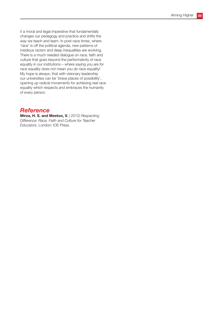it a moral and legal imperative that fundamentally changes our pedagogy and practice and shifts the way we teach and learn. In post-race times, where 'race' is off the political agenda, new patterns of insidious racism and deep inequalities are evolving. There is a much needed dialogue on race, faith and culture that goes beyond the performativity of race equality in our institutions – where saying you are for race equality does not mean you do race equality! My hope is always, that with visionary leadership our universities can be 'brave places of possibility', opening up radical movements for achieving real race equality which respects and embraces the humanity of every person.

# **Reference**

Mirza, H. S. and Meetoo, V. (2012) Respecting Difference: Race, Faith and Culture for Teacher Educators. London: IOE Press.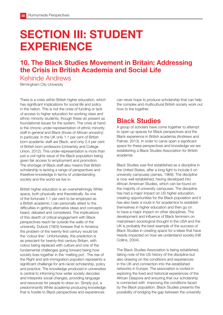# SECTION III: STUDENT **EXPERIENCE**

# 10. The Black Studies Movement in Britain: Addressing the Crisis in British Academia and Social Life

Kehinde Andrews

Birmingham City University

There is a crisis within British higher education, which has significant implications for social life and policy in the nation. This is not the crisis of funding or lack of access to higher education for working class and ethnic minority students, though these do present as foundational issues for the system. The crisis at hand is the chronic under-representation of ethnic minority staff in general and Black (those of African ancestry) in particular. In the UK only 1.1 per cent of British born academic staff are Black, and only 0.4 per cent of British born professors (University and College Union, 2012). This under-representation is more than just a civil rights issue of the Black population being given fair access to employment and promotion. The shortage of Black staff also means that British scholarship is lacking a range of perspectives and therefore knowledge in terms of understanding society and the world we live in.

British higher education is an overwhelmingly White space, both physically and theoretically. As one of the fortunate 1.1 per cent to be employed as a British academic I can personally attest to the difficulties in getting alternative ideas and concepts heard, debated and considered. The implications of this dearth of critical engagement with Black perspectives reach far outside the walls of the university. Dubois (1903) foresaw that in America the problem of the twenty-first century would be the 'colour-line'. Unfortunately, this prediction is as prescient for twenty-first century Britain, with colour being replaced with culture and one of the fundamental challenges going forward being how society lives together in the 'melting pot'. The rise of the Right and anti-immigration populism represents a significant challenge for anti-racist scholarship, policy and practice. The knowledge produced in universities is central to informing how wider society decodes and interprets social changes, providing language and resources for people to draw on. Simply put, a predominantly White academia producing knowledge that is hostile to Black perspectives and experiences

can never hope to produce scholarship that can help the complex and multicultural British society work out how to live together.

# Black Studies

A group of scholars have come together to attempt to open up spaces for Black perspectives and the Black experience in British academia (Andrews and Palmer, 2013). In order to carve open a significant space for these perspectives and knowledge we are establishing a Black Studies Association for British academia.

Black Studies was first established as a discipline in the United States, after a long fight to include it on university campuses (James, 1969). The discipline is now well established, having developed into African American Studies, which can be found on the majority of university campuses. The discipline has had a major impact on US higher education, creating opportunities for the Black population and it has also been a route in for academics to establish themselves in higher education and then go on to have a major impact on other disciplines. The development and influence of Black feminism on mainstream sociological thought in the USA and the UK is probably the best example of the success of Black Studies in creating space for a ideas that have heavily impacted on how we understand society (Hill Collins, 2004).

The Black Studies Association is being established, taking note of the US history of the discipline but also drawing on the conditions and experiences in the UK and connection into the established networks in Europe. The association is rooted in exploring the lived and historical experiences of the African Diaspora and ensuring that our scholarship is connected with improving the conditions faced by the Black population. Black Studies presents the possibility of bridging the gap between the university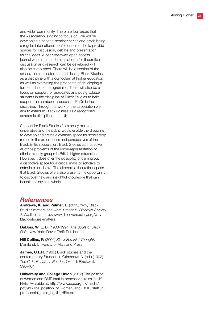and wider community. There are four areas that the Association is going to focus on. We will be developing a national seminar series and establishing a regular international conference in order to provide spaces for discussion, debate and presentation for the ideas. A peer-reviewed open access journal where an academic platform for theoretical discussion and research can be developed will also be established. There will be a section of the association dedicated to establishing Black Studies as a discipline with a curriculum at higher education as well as examining the prospects of developing a further education programme. There will also be a focus on support for graduates and postgraduate students in the discipline of Black Studies to help support the number of successful PhDs in the discipline. Through the work of the association we aim to establish Black Studies as a recognised academic discipline in the UK.

Support for Black Studies from policy makers, universities and the public would enable the discipline to develop and create a dynamic space for scholarship rooted in the experiences and perspectives of the Black British population. Black Studies cannot solve all of the problems of the under-representation of ethnic minority groups in British higher education. However, it does offer the possibility of carving out a distinctive space for a critical mass of scholars to enter into academia. The alternative theoretical space that Black Studies offers also presents the opportunity to discover new and insightful knowledge that can benefit society as a whole.

# References

Andrews, K. and Palmer, L. (2013) 'Why Black Studies matters and what it means'. Discover Society 2. Available at http://www.discoversociety.org/whyblack-studies-matters

DuBois, W. E. B. (1903/1994) The Souls of Black Folk. New York: Dover Thrift Publications

Hill Collins, P. (2000) Black Feminist Thought. Maryland: University of Maryland Press.

James, C.L.R. (1969) Black studies and the contemporary Student. In Grimshaw, A. (ed.) (1992) The C. L. R. James Reader. Oxford: Blackwell, 390–404.

University and College Union (2012) The position of women and BME staff in professorial roles in UK HEIs. Available at: http://www.ucu.org.uk/media/ pdf/9/6/The\_position\_of\_women\_and\_BME\_staff\_in\_ professorial\_roles\_in\_UK\_HEIs.pdf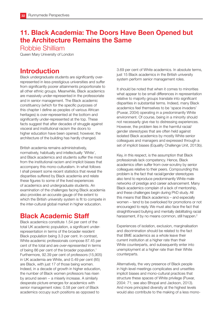# 11. Black Academia: The Doors Have Been Opened but the Architecture Remains the Same

# Robbie Shilliam

Queen Mary University of London

# Introduction

Black undergraduate students are significantly overrepresented in less-prestigious universities and suffer from significantly poorer attainments proportionate to all other ethnic groups. Meanwhile, Black academics are massively under-represented in the professoriate and in senior management. The Black academic constituency (which for the specific purposes of this chapter I define as peoples of various African heritages) is over-represented at the bottom and significantly under-represented at the top. These facts suggest that after decades of struggle against visceral and institutional racism the doors to higher education have been opened; however, the architecture of the building has hardly changed.

British academia remains administratively, normatively, habitually and intellectually 'White', and Black academics and students suffer the most from the institutional racism and implicit biases that accompany this mono-culturalism. In what follows I shall present some recent statistics that reveal the disparities suffered by Black academia and relate these figures to some of the lived experiences of academics and undergraduate students. An examination of the challenges facing Black academia also provides an accurate gauge of the extent to which the British university system is fit to compete in the inter-cultural global market in higher education.

# Black Academic Staff

Black academics constitute 1.54 per cent of the total UK academic population, a significant underrepresentation in terms of the broader resident Black population being 3.3 per cent. In contrast, White academic professionals compose 87.45 per cent of the total and are over-represented in terms of being 86 per cent of the broader population.<sup>1</sup> Furthermore, 92.39 per cent of professors (15,905) in UK academia are White, and 0.49 per cent (85) are Black, with just 17 of those being women. Indeed, in a decade of growth in higher education, the number of Black women professors has risen by around seven – a miserly increase. A similarly desperate picture emerges for academics with senior management roles: 0.58 per cent of Black academics occupy such positions as opposed to

3.69 per cent of White academics. In absolute terms, just 15 Black academics in the British university system perform senior management roles.

It should be noted that when it comes to minorities what appear to be small differences in representation relative to majority groups translate into significant disparities in substantial terms. Indeed, many Black academics feel themselves to be 'space invaders' (Puwar, 2004) operating in a predominantly White environment. Of course, being in a minority should not necessarily give rise to distressing experiences. However, the problem lies in the harmful racial/ gender stereotypes that are often held against isolated Black academics by mostly White senior colleagues and managers and expressed through a set of implicit biases (Equality Challenge Unit, 2013b).

Key, in this respect, is the assumption that Black professionals lack competency. Hence, Black academics often suffer from over-scrutiny by senior colleagues relative to their peers. Compounding this problem is the fact that racial/gender stereotypes also tend to reproduce predominantly White male networks of prestige and career advancement. Many Black academics complain of a lack of mentorship, and these challenges begin during PhD study. All this means that Black academics – and especially women − tend to be overlooked for promotions or not encouraged to reply. We must also face the fact that straightforward bullying and mentally debilitating racial harassment, if by no means common, still happen.<sup>2</sup>

Experiences of isolation, exclusion, marginalisation and discrimination should be related to the fact that BME academics as a whole leave their current institution at a higher rate than their White counterparts, and subsequently enter into unemployment at a higher rate than their White counterparts.

Alternatively, the very presence of Black people in high-level meetings complicates and unsettles implicit biases and mono-cultural practices that structure these spaces of White privilege (Puwar, 2004: 71; see also Bhopal and Jackson, 2013). And more principled diversity at the highest levels would also contribute to the making of a less mono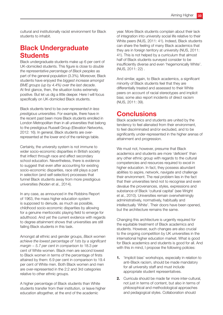cultural and institutionally racist environment for Black students to inhabit.

# Black Undergraduate **Students**

Black undergraduate students make up 6 per cent of UK-domiciled students. This figure is close to double the representative percentage of Black peoples as part of the general population (3.3%). Moreover, Black students have enjoyed the biggest increase amongst BME groups (up by 4.4%) over the last decade. At first glance, then, the situation looks extremely positive. But let us dig a little deeper. Here I will focus specifically on UK-domiciled Black students.

Black students tend to be over-represented in less prestigious universities. For example, there have in the recent past been more Black students enrolled in London Metropolitan than in all universities that belong to the prestigious Russell Group (Elevation Networks, 2012: 16). In general, Black students are overrepresented at the lower end of the rankings table.

Certainly, the university system is not immune to wider socio-economic disparities in British society that inflect through race and affect secondary school education. Nevertheless, there is evidence to suggest that even after accounting for existing socio-economic disparities, race still plays a part in selection (and self-selection) processes that funnel Black students away from more prestigious universities (Noden et al., 2014).

In any case, as announced in the Robbins Report of 1963, the mass higher education system is supposed to denude, as much as possible, childhood socio-economic disparities by allowing for a genuine meritocratic playing field to emerge for adulthood. And yet the current evidence with regards to degree attainment shows that universities are still failing Black students in this task.

Amongst all ethnic and gender groups, Black women achieve the lowest percentage of 1sts by a significant margin – 5.7 per cent in comparison to 18.3 per cent of White women. Black men are second lowest to Black women in terms of the percentage of firsts attained by them: 6.9 per cent in comparison to 19.4 per cent of White men. Both Black women and men are over-represented in the 2:2 and 3rd categories relative to other ethnic groups.

A higher percentage of Black students than White students transfer from their institution, or leave higher education altogether, at the end of the academic

year. More Black students complain about their lack of integration into university social life relative to their White peers (NUS, 2011: 41). Indeed, Black students can share the feeling of many Black academics that they are in foreign territory at university (NUS, 2011: 41). This is not helped by a curriculum that almost half of Black students surveyed consider to be insufficiently diverse and even 'hegemonically White'. (NUS, 2011: 22) .

And similar, again, to Black academics, a significant minority of Black students feel that they are differentially treated and assessed to their White peers on account of racial stereotypes and implicit bias; some also report incidents of direct racism (NUS, 2011: 39).

# **Conclusions**

Black academics and students are united by the tendency to feel alienated from their environment, to feel discriminated and/or excluded, and to be significantly under-represented in the higher arenas of attainment and progression.

We must not, however, presume that Black academics and students are more 'deficient' than any other ethnic group with regards to the cultural competencies and resources required to excel in higher education. In fact, they possess abundant abilities to aspire, network, navigate and challenge their environment. The real problem lies in the fact that their universities tend not to recognise and even devalue the provenances, styles, expressions and substance of Black 'cultural capital' (see Wright et al., 2010). Universities remain overwhelmingly administratively, normatively, habitually and intellectually 'White'. Their doors have been opened, but the architecture remains the same.

Changing this architecture is urgently required for the equitable treatment of Black academics and students. However, such changes are also crucial to the ongoing competition by UK universities in the international higher education market. What is good for Black academics and students is good for all. And with this in mind, I propose the following policies:

- 1. 'Implicit bias' workshops, especially in relation to anti-Black racism, should be made mandatory for all university staff and must include appropriate student representatives.
- 2. Curricula should be made far more inter-cultural, not just in terms of content, but also in terms of philosophical and methodological approaches and pedagogical styles. Collaboration should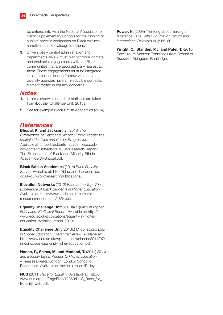be entered into with the National Association of Black Supplementary Schools for the running of subject-specific workshops on Black cultures, narratives and knowledge traditions.

3. Universities – central administration and departments alike – must plan for more intimate and equitable engagements with the Black communities that are geographically nearest to them. These engagements must be integrated into internationalisation frameworks so that diversity agendas have an irreducible domestic element rooted in equality concerns.

#### **Notes**

- 1. Unless otherwise noted, all statistics are taken from (Equality Challenge Unit, 2013a).
- 2. See for example Black British Academics (2014).

# **References**

Bhopal, K. and Jackson, J. (2013) The Experiences of Black and Minority Ethnic Academics: Multiple Identities and Career Progression. Available at: http://blackbritishacademics.co.uk/ wp-content/uploads/2013/04/Research-Report-The-Experiences-of-Black-and-Minority-Ethnic-Academics-Dr-Bhopal.pdf.

**Black British Academics** (2014) Race Equality Survey. Available at: http://blackbritishacademics. co.uk/our-work/research/publications/.

Elevation Networks (2012) Race to the Top: The Experience of Black Students in Higher Education. Available at: http://www.abdn.ac.uk/careers/ resources/documents/4854.pdf.

Equality Challenge Unit (2013a) Equality in Higher Education: Statistical Report. Available at: http:// www.ecu.ac.uk/publications/equality-in-highereducation-statistical-report-2013/.

Equality Challenge Unit (2013b) Unconscious Bias in Higher Education: Literature Review. Availabe at: http://www.ecu.ac.uk/wp-content/uploads/2014/07/ unconscious-bias-and-higher-education.pdf.

Noden, P., Shiner, M. and Modood, T. (2014) Black and Minority Ethnic Access to Higher Education: A Reassessment. London: London School of Economics. Available at: lse.ac.uk/socialPolicy.

NUS (2011) Race for Equality. Available at: http:// www.nus.org.uk/PageFiles/12350/NUS\_Race\_for\_ Equality\_web.pdf.

Puwar, N. (2004) 'Thinking about making a difference'. The British Journal of Politics and International Relations 6(1): 65–80.

Wright, C., Standen, P.J. and Patel, T. (2010) Black Youth Matters: Transitions from School to Success. Abingdon: Routledge.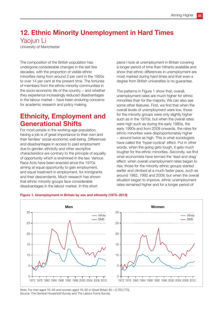# 12. Ethnic Minority Unemployment in Hard Times Yaojun Li

University of Manchester

The composition of the British population has undergone considerable changes in the last few decades, with the proportion of visible ethnic minorities rising from around 2 per cent in the 1950s to over 14 per cent at the present time. The fortunes of members from the ethnic minority communities in the socio-economic life of the country – and whether they experience increasingly reduced disadvantages in the labour market − have been enduring concerns for academic research and policy making.

# Ethnicity, Employment and Generational Shifts

For most people in the working-age population, having a job is of great importance to their own and their families' social-economic well-being. Differences and disadvantages in access to paid employment due to gender, ethnicity and other ascriptive characteristics are contrary to the principle of equality of opportunity which is enshrined in the law. Various Race Acts have been enacted since the 1970s aiming at equal opportunity to gain employment, and equal treatment in employment, for immigrants and their descendants. Much research has shown that ethnic minority groups face considerable disadvantages in the labour market. In this short

piece I look at unemployment in Britain covering a longer period of time than hitherto available and show that ethnic differences in unemployment are most marked during hard times and that even a degree from British universities is no guarantee.

The patterns in Figure 1 show that, overall, unemployment rates are much higher for ethnic minorities than for the majority. We can also see some other features. First, we find that when the overall levels of unemployment were low, those for the minority groups were only slightly higher such as in the 1970s, but when the overall rates were high such as during the early 1980s, the early 1990s and from 2009 onwards, the rates for ethnic minorities were disproportionately higher − around twice as high. This is what sociologists have called the 'hyper-cyclical' effect. Put in other words, when the going gets tough, it gets much tougher for the ethnic minorities. Secondly, we find what economists have termed the 'lead and drag' effect: when overall unemployment rates began to rise, those for the minority ethnic groups started earlier and climbed at a much faster pace, such as around 1982, 1992 and 2009, but when the overall situation began to improve, ethnic unemployment rates remained higher and for a longer period of



#### Figure 1. Unemployment in Britain by sex and ethnicity (1972−2013)

Note: For men aged 16−64 and women aged 16−60 in Great Britain (N = 2,763,770). Source: The General Household Survey and The Labour Force Survey.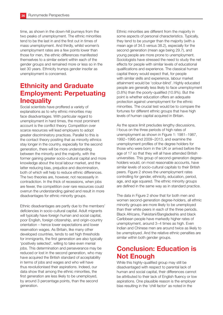time, as shown in the down-hill journeys from the two peaks of unemployment. The ethnic minorities tend to be the last in and the first out in times of mass unemployment. And thirdly, whilst women's unemployment rates are a few points lower than those for men, the ethnic differences manifested themselves to a similar extent within each of the gender groups and remained more or less so in the last 30 years. Ethnicity trumps gender insofar as unemployment is concerned.

# Ethnicity and Graduate Employment: Perpetuating **Inequality**

Social scientists have proffered a variety of explanations as to why ethnic minorities may face disadvantages. With particular regard to unemployment in hard times, the most prominent account is the conflict theory. Competition over scarce resources will lead employers to adopt greater discriminatory practices. Parallel to this is the contact theory positing that as minority ethnics stay longer in the country, especially for the second generation, there will be more understanding between the minority and the majority, with the former gaining greater socio-cultural capital and more knowledge about the local labour market, and the latter reducing bias, prejudice and discrimination, both of which will help to reduce ethnic differences. The two theories are, however, not necessarily in contradiction. In the thick of recessions, when jobs are fewer, the competition over rare resources could overrun the understanding gained and result in more disadvantages for ethnic minority groups.

Ethnic disadvantages are partly due to the members' deficiencies in socio-cultural capital. Adult migrants will typically have foreign human and social capital, poor English, foreign citizenship, and origin-country orientation – hence lower expectations and lower reservation wages. As Britain, like many other developed countries, tends to set high thresholds for immigrants, the first generation are also typically 'positively selected', willing to take even menial jobs. This determination and perseverance may be reduced or lost in the second generation, who may have acquired the British standard of acceptability in terms of jobs and wages and who will have thus revolutionised their aspirations. Indeed, our data show that among the ethnic minorities, the first generation are less likely to be unemployed, by around 3 percentage points, than the second generation.

Ethnic minorities are different from the majority in some aspects of personal characteristics. Typically, they tend to be younger than the majority (with a mean age of 34.5 versus 38.2), especially for the second generation (mean age being 29.7), and young people are more prone to unemployment. Sociologists have stressed the need to study the net effects for people with similar levels of educational qualifications and experience. The classical human capital theory would expect that, for people with similar skills and experience, labour market attainment would be 'colour-blind'. Highly educated people are generally less likely to face unemployment (3.8%) than the poorly-qualified (10.9%). But the point is whether education offers an adequate protection against unemployment for the ethnic minorities. The crucial test would be to compare the fortunes for different ethnic groups that have high levels of human capital acquired in Britain.

As the space limit precludes lengthy discussions, I focus on the three periods of high rates of unemployment as shown in Figure 1: 1981−1987, 1992−1995 and 2009−2013, and examine the unemployment profiles of the degree holders for those who were born in the UK or arrived before the age of 17 so that they will all have attended British universities. This group of second-generation degreeholders would, on most reasonable accounts, have similar levels of socio-cultural capitals to their British peers. Figure 2 shows the unemployment rates controlling for gender, ethnicity, education, period, age, and age squared. The ethnic minority groups are defined in the same way as in standard practice.

The data in Figure 2 show that for both men and women second-generation degree-holders, all ethnic minority groups are more likely to be unemployed than their white peers in each of the three periods. Black Africans, Pakistani/Bangladeshis and black Caribbean people have markedly higher rates of unemployment, around 3−4 times as high. Even Indian and Chinese men are around twice as likely to be unemployed. And the relative ethnic penalties are similar within both gender groups.

# Conclusion: Education is Not Enough

While this highly-qualified group may still be disadvantaged with respect to parental lack of human and social capital, their differences cannot be attributed to their lack of English fluency or low aspirations. One plausible reason is the employer bias resulting in the 'chill factor' as noted in the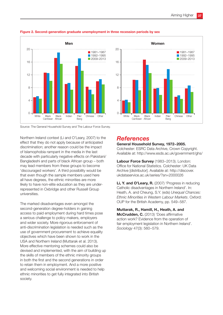

#### Figure 2. Second-generation graduate unemployment in three recession periods by sex

Source: The General Household Survey and The Labour Force Survey.

Northern Ireland context (Li and O'Leary, 2007) to the effect that they do not apply because of anticipated discrimination; another reason could be the impact of Islamophobia rampant in the media in the last decade with particularly negative effects on Pakistani/ Bangladeshi and parts of black African group – both may lead members from these groups to become 'discouraged workers'. A third possibility would be that even though the sample members used here all have degrees, the ethnic minorities are more likely to have non-elite education as they are underrepresented in Oxbridge and other Russell Group universities.

The marked disadvantages even amongst the second-generation degree-holders in gaining access to paid employment during hard times pose a serious challenge to policy makers, employers and wider society. More rigorous enforcement of anti-discrimination legislation is needed such as the use of government procurement to achieve equality objectives which have been shown to work in the USA and Northern Ireland (Muttarak et al. 2013). More effective mentoring schemes could also be devised and implemented, with the aim of building up the skills of members of the ethnic minority groups in both the first and the second generations in order to retain them in employment. And a more positive and welcoming social environment is needed to help ethnic minorities to get fully integrated into British society.



#### **References**

General Household Survey, 1972−2005. Colchester: ESRC Data Archive, Crown Copyright. Available at: http://www.esds.ac.uk/government/ghs/

Labour Force Survey (1983−2013). London: Office for National Statistics. Colchester: UK Data Archive [distributor]. Available at: http://discover. ukdataservice.ac.uk/series/?sn=2000026

Li, Y. and O'Leary, R. (2007) 'Progress in reducing Catholic disadvantages in Northern Ireland'. In: Heath, A. and Cheung, S.Y. (eds) Unequal Chances: Ethnic Minorities in Western Labour Markets. Oxford: OUP for the British Academy, pp. 549−587.

Muttarak, R., Hamill, H., Heath, A. and McCrudden, C. (2013) 'Does affirmative

action work? Evidence from the operation of fair employment legislation in Northern Ireland'. Sociology 47(3): 560−579.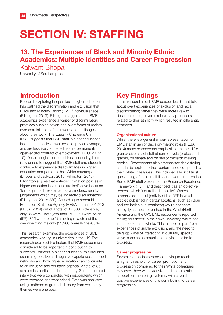# SECTION IV: STAFFING

# 13. The Experiences of Black and Minority Ethnic Academics: Multiple Identities and Career Progression

Kalwant Bhopal University of Southampton

# Introduction

Research exploring inequalities in higher education has outlined the discrimination and exclusion that Black and Minority Ethnic (BME)<sup>1</sup> individuals face (Pilkington, 2013). Pilkington suggests that BME academics experience a variety of discriminatory practices such as covert and overt forms of racism, over-scrutinisation of their work and challenges about their work. The Equality Challenge Unit (ECU) suggests that BME staff in higher education institutions 'receive lower levels of pay on average, and are less likely to benefit from a permanent/ open-ended contract of employment' (ECU, 2009: 10). Despite legislation to address inequality, there is evidence to suggest that BME staff and students continue to experience disadvantages in higher education compared to their White counterparts (Bhopal and Jackson, 2013; Pilkington, 2013). Pilkington argues that anti-discrimination policies in higher education institutions are ineffective because 'formal procedures can act as a smokescreen for judgements which may be indirectly discriminatory' (Pilkington, 2013: 230). According to recent Higher Education Statistics Agency (HESA) data in 2012/13 (HESA, 2014) out of a total of 17,880 professors, only 85 were Black (less than 1%), 950 were Asian (5%), 365 were 'other' (including mixed) and the overwhelming majority (15,200) were White (85%).

This research examines the experiences of BME academics working in universities in the UK. The research explored the factors that BME academics considered to be important in contributing to successful careers in higher education; this included examining positive and negative experiences, support networks and how higher education can contribute to an inclusive and equitable agenda. A total of 35 academics participated in the study. Semi-structured interviews were conducted with respondents which were recorded and transcribed. Data was analysed using methods of grounded theory from which key themes were analysed.

# Key Findings

In this research most BME academics did not talk about overt experiences of exclusion and racial discrimination; rather they were more likely to describe subtle, covert exclusionary processes related to their ethnicity which resulted in differential treatment.

#### Organisational culture

Whilst there is a general under-representation of BME staff in senior decision-making roles (HESA, 2014) many respondents emphasised the need for greater diversity of staff at senior levels (professorial grades, on senate and on senior decision making bodies). Respondents also emphasised the differing standards applied to their performance compared to their White colleagues. This included a lack of trust, questioning of their credibility and over-scrutinisation. Some BME staff welcomed the Research Excellence Framework (REF)<sup>2</sup> and described it as an objective process which 'neutralised ethnicity'. Others emphasised the subjectivity of the REF in which articles published in certain locations (such as Asian and the Indian sub-continent) would not score as highly as those published in the West (North America and the UK). BME respondents reported feeling 'outsiders' in their own university, whilst not in the sector as a whole. This resulted in part from experiences of subtle exclusion, and the need to develop ways of interacting in culturally specific ways, such as communication style, in order to progress.

#### Career progression

Several respondents reported having to reach a higher threshold for career promotion and progression compared to their White colleagues. However, there was extensive and enthusiastic support for mentoring systems, with several positive experiences of this contributing to career progression.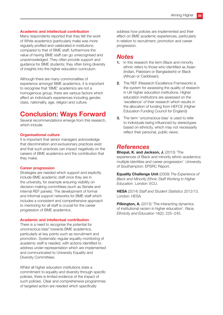#### Academic and intellectual contribution

Many respondents reported that they felt the work of White academics (particularly male) was more regularly profiled and celebrated in institutions compared to that of BME staff; furthermore the value of having BME staff can go unrecognised and unacknowledged. They often provide support and guidance for BME students; they often bring diversity of insights into the higher education curriculum.

Although there are many commonalities of experience amongst BME academics, it is important to recognise that 'BME' academics are not a homogenous group; there are various factors which affect an individual's experiences including gender, class, nationality, age, religion and culture.

# Conclusion: Ways Forward

Several recommendations emerge from this research, which include:

#### Organisational culture

It is important that senior managers acknowledge that discrimination and exclusionary practices exist and that such practices can impact negatively on the careers of BME academics and the contribution that they make.

#### Career progression

Strategies are needed which support and explicitly include BME academic staff once they are in the university, for example ensuring visibility on decision-making committees (such as Senate and internal REF panels). The development of formal and informal support networks for BME staff which includes a consistent and comprehensive approach to mentoring for all staff is crucial for the career progression of BME academics.

#### Academic and intellectual contribution

There is a need to recognise the potential for unconscious bias<sup>3</sup> towards BME academics, particularly at key points such as recruitment and promotion. Systematic regular equality monitoring of academic staff is needed, with actions identified to address under-representation which are implemented and communicated to University Equality and Diversity Committees.

Whilst all higher education institutions state a commitment to equality and diversity through specific policies, there is limited evidence of the impact of such policies. Clear and comprehensive programmes of targeted action are needed which specifically

address how policies are implemented and their effect on BME academic experiences, particularly in relation to recruitment, promotion and career progression.

#### **Notes**

- 1. In this research the term Black and minority ethnic refers to those who identified as Asian (Indian, Pakistani or Bangladeshi) or Black (African or Caribbean).
- 2. The REF (Research Excellence Framework) is the system for assessing the quality of research in UK higher education institutions. Higher education institutions are assessed on the 'excellence' of their research which results in the allocation of funding from HEFCE (Higher Education Funding Council for England)
- 3. The term 'unconscious bias' is used to refer to individuals being influenced by stereotypes based on ethnicity, which may not necessarily reflect their personal, public views.

#### **References**

Bhopal, K. and Jackson, J. (2013) 'The experiences of Black and minority ethnic academics: multiple identities and career progression'. University of Southampton: EPSRC Report.

Equality Challenge Unit (2009) The Experience of Black and Minority Ethnic Staff Working in Higher Education. London: ECU.

**HESA** (2014) Staff and Student Statistics 2012/13. London: HESA.

Pilkington, A. (2013) 'The interacting dynamics of institutional racism in higher education'. Race, Ethnicity and Education 16(2): 225−245.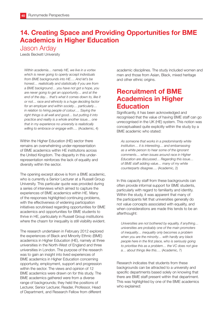# 14. Creating Space and Providing Opportunities for BME Academics in Higher Education

Jason Arday

Leeds Beckett University

Within academia… namely HE, we live in a vortex which is never going to openly accept individuals from BME backgrounds into HE…. And let's be honest… realistically and statistically if you are from a BME background… you have not got a hope, you are never going to get an opportunity… and at the end of the day… that's what it comes down to, like it or not… race and ethnicity is a huge deciding factor for an employer and within society… particularly… in relation to hiring people of colour…. Saying the right things is all well and good… but putting it into practice and reality is a whole another issue… one that in my experience no university is realistically willing to embrace or engage with.... (Academic, 4)

Within the Higher Education (HE) sector there remains an overwhelming under-representation of BME academics within HE institutions across the United Kingdom. The disparity in this underrepresentation reinforces the lack of equality and diversity within the sector.

The opening excerpt above is from a BME academic, who is currently a Senior Lecturer at a Russell Group University. This particular quote was provided during a series of interviews which aimed to capture the experiences of BME academics within HE. Many of the responses highlighted continuing problems, with the effectiveness of widening participation initiatives scrutinised regarding opportunities for BME academics and opportunities for BME students to thrive in HE, particularly in Russell Group institutions where the chasm for inequality is still visibility evident.

The research undertaken in February 2012 explored the experiences of Black and Minority Ethnic (BME) academics in Higher Education (HE), namely at three universities in the North-West of England and three universities in London. The purpose of the research was to gain an insight into lived experiences of BME academics in Higher Education concerning opportunity, employment, support and progression within the sector. The views and opinion of 12 BME academics were drawn on for this study. The BME academics gathered were from a diverse range of backgrounds; they held the positions of Lecturer, Senior Lecturer, Reader, Professor, Head of Department, and Research Fellow from different

academic disciplines. The study included women and men and those from Asian, Black, mixed heritage and other ethnic origins.

# Recruitment of BME Academics in Higher **Education**

Significantly, it has been acknowledged and recognised that the value of having BME staff can go unrecognised in the UK (HE) system. This notion was conceptualised quite explicitly within the study by a BME academic who stated:

As someone that works in a predominantly white institution… it is interesting… and embarrassing as a white person to hear some of the ignorant comments… when issues around race in Higher Education are discussed… Regarding this issue… of BME staff adding value… many of my white counterparts disagree…. (Academic, 2)

In this capacity staff from these backgrounds can often provide informal support for BME students, particularly with regard to familiarity and identity. Within the study, it was apparent that many of the participants felt that universities generally do not value concepts associated with equality, and when considerations are made this tends to be an afterthought:

Universities are not bothered by equality, if anything… universities are probably one of the main promoters of inequality… inequality only becomes a problem when you are the minority… with hardly any black people here in the first place, who is seriously going to prioritise this as a problem… the VC does not give a… about things like this…. (Academic, 7)

Research indicates that students from these backgrounds can be attracted to a university and specific departments based solely on knowing that there are BME staff present within that department. This was highlighted by one of the BME academics who explained: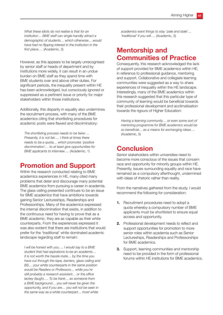What these idiots do not realise is that for an institution… BME staff can single-handily attract a demographic of students… which otherwise… would have had no flipping interest in the institution in the first place.... (Academic, 3)

However, as this appears to be largely unrecognised by senior staff or heads of department and by institutions more widely, it can result in an undue burden on BME staff as they spend time with BME students over and above other duties. For significant periods, the inequality present within HE has been acknowledged, but consciously ignored or suppressed as a pertinent issue or priority for major stakeholders within those institutions.

Additionally, this disparity in equality also undermines the recruitment process, with many of the BME academics citing that shortlisting procedures for academic posts were flawed and discriminatory:

The shortlisting process needs to be fairer…. Presently, it is not fair…. I think at times there needs to be a quota… which promotes 'positive discrimination'… to at least give opportunities for BME applicants to interview…. (Academic, 1)

# Promotion and Support

Within the research conducted relating to BME academics experiences in HE, many cited many problems that deter and discourage many potential BME academics from pursuing a career in academia. The glass ceiling presented continues to be an issue for BME academics that have ambitions towards gaining Senior Lectureships, Readerships and Professorships. Many of the academics expressed the internal discrimination that exists, in addition to the continuous need for having to prove that as a BME academic, they are as capable as their white counterparts. From the experiences expressed it was also evident that there are institutions that would prefer for the 'traditional' white dominated academic landscape regarding staff to remain:

I will be honest with you…. I would say to a BME student that had aspirations to be an academic… it is not worth the hassle mate… by the time you have cut through the tape, barriers, glass ceiling and BS… your white counterparts in the same position would be Readers or Professors… while you're still probably a research assistant… or the office lackey (laugh)…. To be frank… as someone from a BME background… you will never be given the opportunity, and if you are… you will not be seen in the same way as a white counterpart… most white

academics want things to stay 'pale and stale'… 'traditional' if you will…. (Academic, 3)

# Mentorship and Communities of Practice

Consequently, this research acknowledged the lack of support provided for BME academics within HE, in reference to professional guidance, mentoring and support. Collaborative and collegiate learning communities were suggested as a way to share experiences of inequality within the HE landscape. Interestingly, many of the BME academics within this research suggested that this particular type of community of learning would be beneficial towards their professional development and acclimatisation towards the rigours of Higher Education:

Having a learning community… or even some sort of mentoring programme for BME academics would be so beneficial... as a means for exchanging ideas.... (Academic, 5)

# Conclusion

Senior stakeholders within universities need to become more conscious of the issues that concern race and opportunity for minority groups within HE. Presently, issues surrounding equality and race have remained as a compulsory afterthought, undermined with ideas of rhetoric rather than reality.

From the narratives gathered from the study, I would recommend the following for consideration:

- 1. Recruitment procedures need to adopt a quota whereby a compulsory number of BME applicants must be shortlisted to ensure equal access and opportunity.
- 2. Professional development needs to reflect and support opportunities for promotion to more senior roles within academia such as Senior Lectureships, Readerships and Professorships for BME academics.
- **3.** Support, learning communities and mentorship need to be provided in the form of professional forums within HE institutions for BME academics.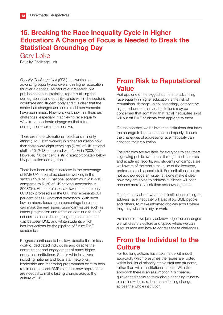# 15. Breaking the Race Inequality Cycle in Higher Education: A Change of Focus is Needed to Break the Statistical Groundhog Day

Gary Loke

Equality Challenge Unit

Equality Challenge Unit (ECU) has worked on advancing equality and diversity in higher education for over a decade. As part of our research, we publish an annual statistical report outlining the demographics and equality trends within the sector's workforce and student body and it is clear that the sector has changed and some real improvements have been made. However, we know that there are challenges, especially in achieving race equality. We aim to accelerate change so that future demographics are more positive.

There are more UK-national black and minority ethnic (BME) staff working in higher education now than there were eight years ago (7.8% of UK national staff in 2012/13 compared with 5.4% in 2003/04).<sup>1</sup> However, 7.8 per cent is still disproportionately below UK population demographics.

There has been a slight increase in the percentage of BME UK-national academics working in the sector (7.9% of UK national academics in 2012/13 compared to 5.9% of UK national academics in 2003/04). At the professoriate level, there are only 60 Black professors in the UK. This represents 0.4 per cent of all UK-national professors. With such low numbers, focusing on percentage increases can mask the real issues. Significant issues such as career progression and retention continue to be of concern, as does the ongoing degree attainment gap between BME and white students which has implications for the pipeline of future BME academics.

Progress continues to be slow, despite the tireless work of dedicated individuals and despite the commitment and engagement of many higher education institutions. Sector-wide initiatives including national and local staff networks, leadership and mentoring programmes exist to help retain and support BME staff, but new approaches are needed to make lasting change across the culture of HE.

# From Risk to Reputational Value

Perhaps one of the biggest barriers to advancing race equality in higher education is the risk of reputational damage. In an increasingly competitive higher education market, institutions may be concerned that admitting that racial inequalities exist will put off BME students from applying to them.

On the contrary, we believe that institutions that have the courage to be transparent and openly discuss the challenges of addressing race inequality can enhance their reputation.

The statistics are available for everyone to see, there is growing public awareness through media articles and academic reports, and students on campus are well aware of the ethnic make-up of the lecturers, professors and support staff. For institutions that do not acknowledge an issue, let alone make it clear how they are going to address it, silence will soon become more of a risk than acknowledgement.

Transparency about what each institution is doing to address race inequality will also allow BME people, and others, to make informed choices about where they may wish to study or work.

As a sector, if we jointly acknowledge the challenges we will create a culture and space where we can discuss race and how to address these challenges.

# From the Individual to the **Culture**

For too long actions have taken a deficit model approach, which presumes the issues are rooted within individual minority ethnic staff and students, rather than within institutional culture. With this approach there is an assumption it is cheaper, quicker and easier to think about changing minority ethnic individuals, rather than affecting change across the whole institution.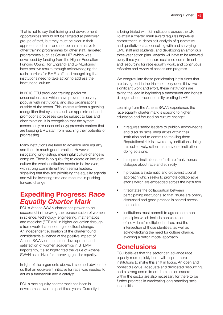That is not to say that training and development opportunities should not be targeted at particular groups of staff, but they must be clear in their approach and aims and not be an alternative to other training programmes for other staff. Targeted programmes such as Stellar HE<sup>2</sup> (which was developed by funding from the Higher Education Funding Council for England) and B-MEntoring3 have positive results through acknowledging the racial barriers for BME staff, and recognising that institutions need to take action to address the institutional culture.

In 2013 ECU produced training packs on unconscious bias which have proven to be very popular with institutions, and also organisations outside of the sector. This interest reflects a growing recognition that systems such as appointment and promotions processes can be subject to bias and discrimination. It is recognition that the system (consciously or unconsciously) presents barriers that are keeping BME staff from reaching their potential or progressing.

Many institutions are keen to advance race equality and there is much good practice. However, instigating long-lasting, meaningful culture change is complex. There is no quick fix; to create an inclusive culture the whole institution needs to be involved, with strong commitment from senior leaders, signalling that they are prioritising the equality agenda and will be investing time and resource in pushing forward change.

# Expediting Progress: Race Equality Charter Mark

ECU's Athena SWAN charter has proven to be successful in improving the representation of women in science, technology, engineering, mathematics and medicine (STEMM) in higher education through a framework that encourages cultural change. An independent evaluation of the charter found considerable evidence of the positive impact of Athena SWAN on the career development and satisfaction of women academics in STEMM. Importantly, it also highlighted the value of Athena SWAN as a driver for improving gender equality.

In light of the arguments above, it seemed obvious to us that an equivalent initiative for race was needed to act as a framework and a catalyst.

ECU's race equality charter mark has been in development over the past three years. Currently it is being trialled with 32 institutions across the UK. To attain a charter mark award requires high-level commitment, in-depth self-analysis of quantitative and qualitative data, consulting with and surveying BME staff and students, and developing an ambitious three-year action plan. Awards will have to be renewed every three years to ensure sustained commitment and resourcing for race equality work, and continuous reflection and review of actions and progress.

We congratulate those participating institutions that are taking part in the trial – not only does it involve significant work and effort, these institutions are taking the lead in beginning a transparent and honest dialogue about race inequality existing in HE.

Learning from the Athena SWAN experience, the race equality charter mark is specific to higher education and focused on culture change:

- It requires senior leaders to publicly acknowledge and discuss racial inequalities within their institution and to commit to tackling them. Reputational risk is lowered by institutions doing this collectively, rather than any one institution doing so alone.
- It requires institutions to facilitate frank, honest dialogue about race and ethnicity.
- It provides a systematic and cross-institutional approach which seeks to promote collaborative efforts which are embedded across the institution.
- It facilitates the collaboration between participating institutions so that issues are openly discussed and good practice is shared across the sector.
- Institutions must commit to agreed common principles which include consideration of individuals' multiple identities, and the intersection of those identities, as well as acknowledging the need for culture change, avoiding a deficit model approach.

# **Conclusions**

ECU believes that the sector can advance race equality more quickly but it will require more institutions to make this shift in focus. An open and honest dialogue, adequate and dedicated resourcing, and a strong commitment from senior leaders within the sector are also necessary for there to be further progress in eradicating long-standing racial inequalities.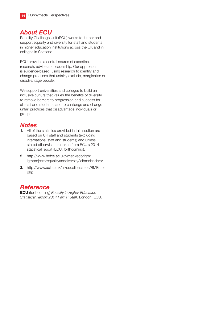# About ECU

Equality Challenge Unit (ECU) works to further and support equality and diversity for staff and students in higher education institutions across the UK and in colleges in Scotland.

ECU provides a central source of expertise, research, advice and leadership. Our approach is evidence-based, using research to identify and change practices that unfairly exclude, marginalise or disadvantage people.

We support universities and colleges to build an inclusive culture that values the benefits of diversity, to remove barriers to progression and success for all staff and students, and to challenge and change unfair practices that disadvantage individuals or groups.

# **Notes**

- 1. All of the statistics provided in this section are based on UK staff and students (excluding international staff and students) and unless stated otherwise, are taken from ECU's 2014 statistical report (ECU, forthcoming).
- 2. http://www.hefce.ac.uk/whatwedo/lgm/ lgmprojects/equalityanddiversity/iclbmeleaders/
- 3. http://www.ucl.ac.uk/hr/equalities/race/BMEntor. php

# **Reference**

ECU (forthcoming) Equality in Higher Education Statistical Report 2014 Part 1: Staff. London: ECU.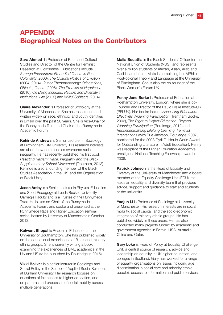# APPENDIX Biographical Notes on the Contributors

**Sara Ahmed** is Professor of Race and Cultural Studies and Director of the Centre for Feminist Research at Goldsmiths. Publications include Strange Encounters: Embodied Others in Post-Coloniality (2000); The Cultural Politics of Emotion (2004, 2014), Queer Phenomenology: Orientations, Objects, Others (2006); The Promise of Happiness (2010); On Being Included: Racism and Diversity in Institutional Life (2012) and Willful Subjects (2014).

**Claire Alexander** is Professor of Sociology at the University of Manchester. She has researched and written widely on race, ethnicity and youth identities in Britain over the past 20 years. She is Vice-Chair of the Runnymede Trust and Chair of the Runnymede Academic Forum.

Kehinde Andrews is Senior Lecturer in Sociology at Birmingham City University. His research interests are about how communities overcome racial inequality. He has recently published his first book Resisting Racism: Race, Inequality and the Black Supplementary School Movement (Trentham, 2013). Kehinde is also a founding member of the Black Studies Association in the UK, and the Organisation of Black Unity.

**Jason Arday** is a Senior Lecturer in Physical Education and Sport Pedagogy at Leeds Beckett University, Carnegie Faculty and is a Trustee of the Runnymede Trust. He is also co-Chair of the Runnymede Academic Forum, and spoke and presented at the Runnymede Race and Higher Education seminar series, hosted by University of Manchester in October 2013.

Kalwant Bhopal is Reader in Education at the University of Southampton. She has published widely on the educational experiences of Black and minority ethnic groups. She is currently writing a book examining the experiences of BME academics in the UK and US (to be published by Routledge in 2015).

**Vikki Boliver** is a senior lecturer in Sociology and Social Policy in the School of Applied Social Sciences at Durham University. Her research focuses on questions of fair access to higher education, and on patterns and processes of social mobility across multiple generations.

Malia Bouattia is the Black Students' Officer for the National Union of Students (NUS), and represents over a million students of African, Asian, Arab and Caribbean decent. Malia is completing her MPhil in Post-colonial Theory and Language at the University of Birmingham. She is also the co-founder of the Black Women's Forum UK.

**Penny Jane Burke** is Professor of Education at Roehampton University, London, where she is co-Founder and Director of the Paulo Freire Institute-UK (PFI-UK). Her books include Accessing Education: Effectively Widening Participation (Trentham Books, 2002), The Right to Higher Education: Beyond Widening Participation (Routledge, 2012) and Reconceptualising Lifelong Learning: Feminist Interventions (with Sue Jackson, Routledge, 2007, nominated for the 2008 Cyril O. Houle World Award for Outstanding Literature in Adult Education). Penny was recipient of the Higher Education Academy's prestigious National Teaching Fellowship award in 2008.

Patrick Johnson is the Head of Equality and Diversity at the University of Manchester and a board member of the Equality Challenge Unit (ECU). He leads an equality and diversity team that provides advice, support and guidance to staff and students at the university.

Yaojun Li is Professor of Sociology at University of Manchester. His research interests are in social mobility, social capital, and the socio-economic integration of minority ethnic groups. He has published widely in these areas. He has also conducted many projects funded by academic and government agencies in Britain, USA, Australia, China and Qatar.

Gary Loke is Head of Policy at Equality Challenge Unit, a central source of research, advice and leadership on equality in UK higher education, and colleges in Scotland. Gary has worked for a range of equality organisations on issues including age discrimination in social care and minority ethnic people's access to information and public services.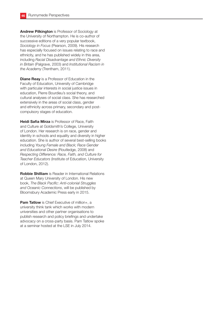Andrew Pilkington is Professor of Sociology at the University of Northampton. He is co-author of successive editions of a very popular textbook, Sociology in Focus (Pearson, 2009). His research has especially focused on issues relating to race and ethnicity, and he has published widely in this area, including Racial Disadvantage and Ethnic Diversity in Britain (Palgrave, 2003) and Institutional Racism in the Academy (Trentham, 2011).

Diane Reay is a Professor of Education in the Faculty of Education, University of Cambridge with particular interests in social justice issues in education, Pierre Bourdieu's social theory, and cultural analyses of social class. She has researched extensively in the areas of social class, gender and ethnicity across primary, secondary and postcompulsory stages of education.

**Heidi Safia Mirza** is Professor of Race, Faith and Culture at Goldsmith's College, University of London. Her research is on race, gender and identity in schools and equality and diversity in higher education. She is author of several best-selling books including Young Female and Black; Race Gender and Educational Desire (Routledge, 2008) and Respecting Difference: Race, Faith, and Culture for Teacher Educators (Institute of Education, University of London, 2012).

Robbie Shilliam is Reader in International Relations at Queen Mary University of London. His new book, The Black Pacific: Anti-colonial Struggles and Oceanic Connections, will be published by Bloomsbury Academic Press early in 2015.

**Pam Tatlow** is Chief Executive of million+, a university think tank which works with modern universities and other partner organisations to publish research and policy briefings and undertake advocacy on a cross-party basis. Pam Tatlow spoke at a seminar hosted at the LSE in July 2014.